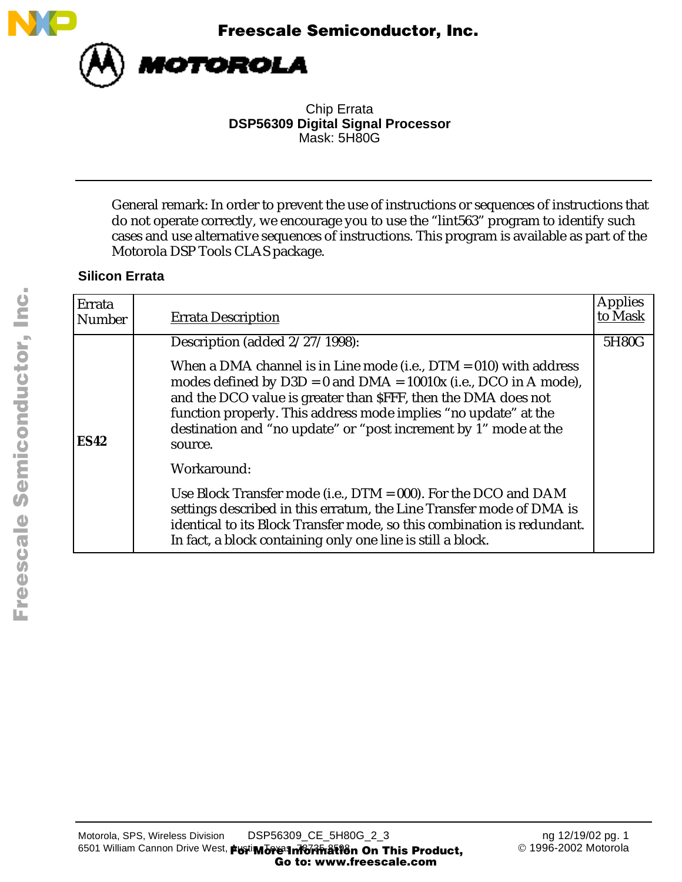



Chip Errata **DSP56309 Digital Signal Processor** Mask: 5H80G

General remark: In order to prevent the use of instructions or sequences of instructions that do not operate correctly, we encourage you to use the "lint563" program to identify such cases and use alternative sequences of instructions. This program is available as part of the Motorola DSP Tools CLAS package.

# **Silicon Errata**

| Errata<br>Number | <b>Errata Description</b>                                                                                                                                                                                                                                                                                                                                        | <b>Applies</b><br>to Mask |
|------------------|------------------------------------------------------------------------------------------------------------------------------------------------------------------------------------------------------------------------------------------------------------------------------------------------------------------------------------------------------------------|---------------------------|
|                  | Description (added 2/27/1998):                                                                                                                                                                                                                                                                                                                                   | 5H80G                     |
| <b>ES42</b>      | When a DMA channel is in Line mode (i.e., $DTM = 010$ ) with address<br>modes defined by $D3D = 0$ and $DMA = 10010x$ (i.e., DCO in A mode),<br>and the DCO value is greater than \$FFF, then the DMA does not<br>function properly. This address mode implies "no update" at the<br>destination and "no update" or "post increment by 1" mode at the<br>source. |                           |
|                  | Workaround:                                                                                                                                                                                                                                                                                                                                                      |                           |
|                  | Use Block Transfer mode (i.e., $DTM = 000$ ). For the DCO and DAM<br>settings described in this erratum, the Line Transfer mode of DMA is<br>identical to its Block Transfer mode, so this combination is redundant.<br>In fact, a block containing only one line is still a block.                                                                              |                           |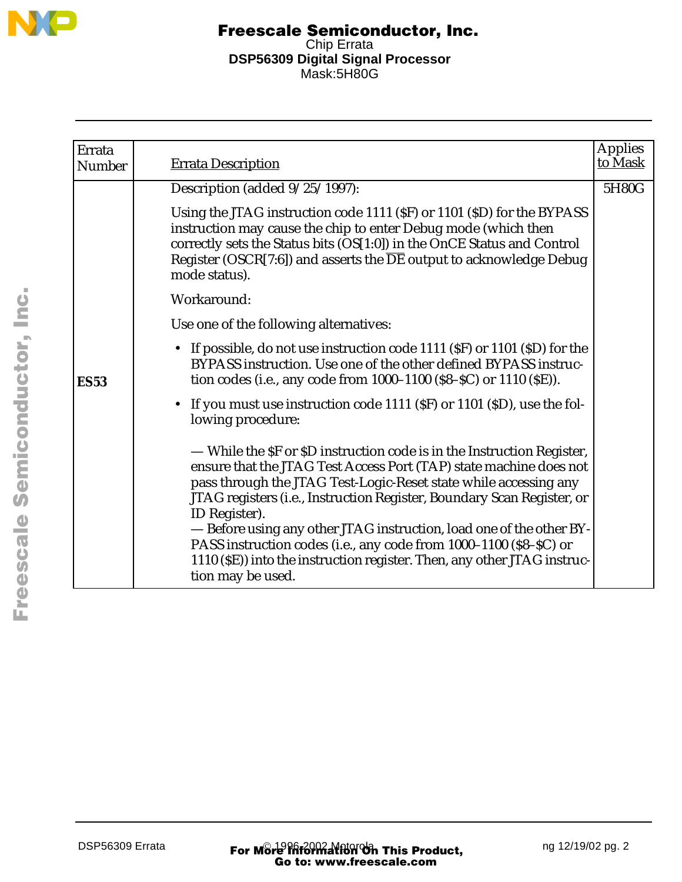

| Errata      |                                                                                                                                                                                                                                                                                                                                                                                                                                                                                                                                                          | <b>Applies</b> |
|-------------|----------------------------------------------------------------------------------------------------------------------------------------------------------------------------------------------------------------------------------------------------------------------------------------------------------------------------------------------------------------------------------------------------------------------------------------------------------------------------------------------------------------------------------------------------------|----------------|
| Number      | <b>Errata Description</b>                                                                                                                                                                                                                                                                                                                                                                                                                                                                                                                                | to Mask        |
|             | Description (added $9/25/1997$ ):                                                                                                                                                                                                                                                                                                                                                                                                                                                                                                                        | 5H80G          |
|             | Using the JTAG instruction code 1111 (\$F) or 1101 (\$D) for the BYPASS<br>instruction may cause the chip to enter Debug mode (which then<br>correctly sets the Status bits (OS[1:0]) in the OnCE Status and Control<br>Register (OSCR[7:6]) and asserts the $\overline{\rm DE}$ output to acknowledge Debug<br>mode status).                                                                                                                                                                                                                            |                |
|             | Workaround:                                                                                                                                                                                                                                                                                                                                                                                                                                                                                                                                              |                |
|             | Use one of the following alternatives:                                                                                                                                                                                                                                                                                                                                                                                                                                                                                                                   |                |
| <b>ES53</b> | • If possible, do not use instruction code 1111 (SF) or 1101 (SD) for the<br>BYPASS instruction. Use one of the other defined BYPASS instruc-<br>tion codes (i.e., any code from 1000-1100 (\$8-\$C) or 1110 (\$E)).                                                                                                                                                                                                                                                                                                                                     |                |
|             | • If you must use instruction code 1111 (\$F) or 1101 (\$D), use the fol-<br>lowing procedure:                                                                                                                                                                                                                                                                                                                                                                                                                                                           |                |
|             | — While the SF or SD instruction code is in the Instruction Register,<br>ensure that the JTAG Test Access Port (TAP) state machine does not<br>pass through the JTAG Test-Logic-Reset state while accessing any<br>JTAG registers (i.e., Instruction Register, Boundary Scan Register, or<br>ID Register).<br>- Before using any other JTAG instruction, load one of the other BY-<br>PASS instruction codes (i.e., any code from 1000-1100 (\$8-\$C) or<br>1110 (SE)) into the instruction register. Then, any other JTAG instruc-<br>tion may be used. |                |

F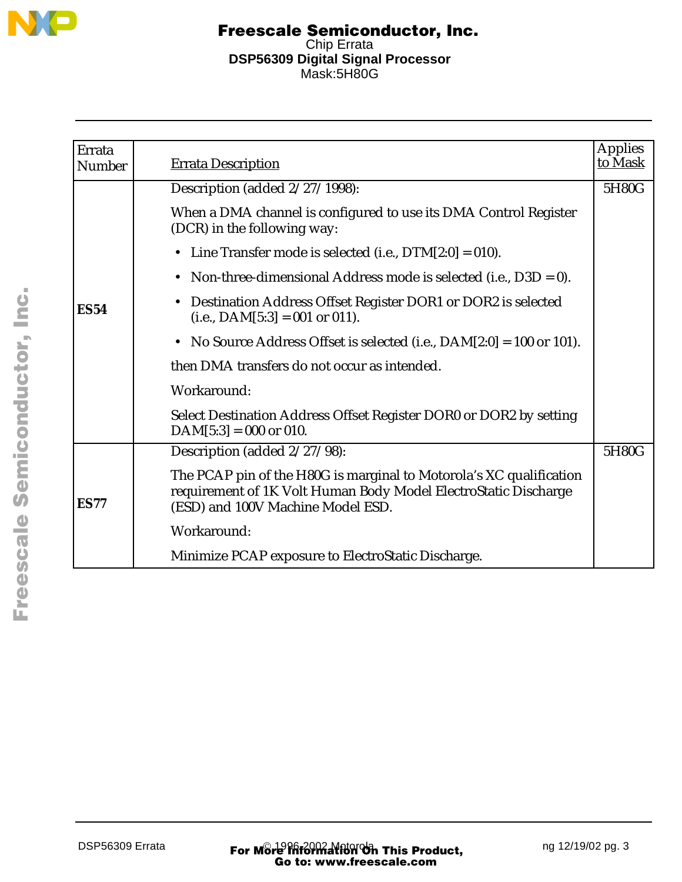

| Errata        |                                                                                                                                                                             | <b>Applies</b> |
|---------------|-----------------------------------------------------------------------------------------------------------------------------------------------------------------------------|----------------|
| <b>Number</b> | <b>Errata Description</b>                                                                                                                                                   | to Mask        |
|               | Description (added 2/27/1998):                                                                                                                                              | 5H80G          |
|               | When a DMA channel is configured to use its DMA Control Register<br>(DCR) in the following way:                                                                             |                |
|               | • Line Transfer mode is selected (i.e., $DTM[2:0] = 010$ ).                                                                                                                 |                |
|               | Non-three-dimensional Address mode is selected (i.e., $D3D = 0$ ).<br>$\bullet$                                                                                             |                |
| <b>ES54</b>   | Destination Address Offset Register DOR1 or DOR2 is selected<br>$(i.e., DAM[5:3] = 001$ or 011).                                                                            |                |
|               | No Source Address Offset is selected (i.e., $DAM[2:0] = 100$ or 101).<br>$\bullet$                                                                                          |                |
|               | then DMA transfers do not occur as intended.                                                                                                                                |                |
|               | Workaround:                                                                                                                                                                 |                |
|               | Select Destination Address Offset Register DOR0 or DOR2 by setting<br>$DAM[5:3] = 000$ or 010.                                                                              |                |
|               | Description (added 2/27/98):                                                                                                                                                | 5H80G          |
| <b>ES77</b>   | The PCAP pin of the H80G is marginal to Motorola's XC qualification<br>requirement of 1K Volt Human Body Model ElectroStatic Discharge<br>(ESD) and 100V Machine Model ESD. |                |
|               | Workaround:                                                                                                                                                                 |                |
|               | Minimize PCAP exposure to ElectroStatic Discharge.                                                                                                                          |                |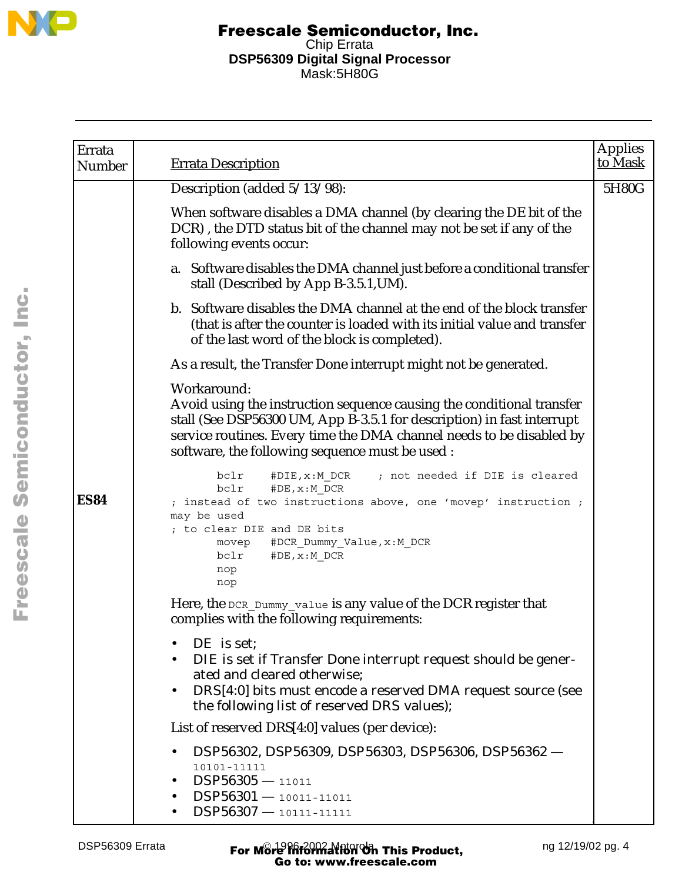

| Errata      |                                                                                                                                                                                                                                                                                           | <b>Applies</b><br>to Mask |
|-------------|-------------------------------------------------------------------------------------------------------------------------------------------------------------------------------------------------------------------------------------------------------------------------------------------|---------------------------|
| Number      | <b>Errata Description</b>                                                                                                                                                                                                                                                                 |                           |
|             | Description (added 5/13/98):                                                                                                                                                                                                                                                              | 5H80G                     |
|             | When software disables a DMA channel (by clearing the DE bit of the<br>DCR), the DTD status bit of the channel may not be set if any of the<br>following events occur:                                                                                                                    |                           |
|             | a. Software disables the DMA channel just before a conditional transfer<br>stall (Described by App B-3.5.1, UM).                                                                                                                                                                          |                           |
|             | b. Software disables the DMA channel at the end of the block transfer<br>(that is after the counter is loaded with its initial value and transfer<br>of the last word of the block is completed).                                                                                         |                           |
|             | As a result, the Transfer Done interrupt might not be generated.                                                                                                                                                                                                                          |                           |
|             | Workaround:<br>Avoid using the instruction sequence causing the conditional transfer<br>stall (See DSP56300 UM, App B-3.5.1 for description) in fast interrupt<br>service routines. Every time the DMA channel needs to be disabled by<br>software, the following sequence must be used : |                           |
| <b>ES84</b> | #DIE, x: M DCR<br>; not needed if DIE is cleared<br>bclr<br>bclr<br>#DE, x: M DCR<br>; instead of two instructions above, one 'movep' instruction ;<br>may be used<br>; to clear DIE and DE bits<br>#DCR_Dummy_Value, x:M_DCR<br>movep<br>#DE, x: M DCR<br>bclr<br>nop<br>nop             |                           |
|             | Here, the DCR_Dummy_value is any value of the DCR register that<br>complies with the following requirements:                                                                                                                                                                              |                           |
|             | DE is set;<br>DIE is set if Transfer Done interrupt request should be gener-<br>ated and cleared otherwise;<br>DRS[4:0] bits must encode a reserved DMA request source (see<br>the following list of reserved DRS values);                                                                |                           |
|             | List of reserved DRS[4:0] values (per device):                                                                                                                                                                                                                                            |                           |
|             | DSP56302, DSP56309, DSP56303, DSP56306, DSP56362-<br>10101-11111<br>$DSP56305 - 11011$<br>$DSP56301 - 10011 - 11011$<br>$DSP56307 - 10111 - 11111$                                                                                                                                        |                           |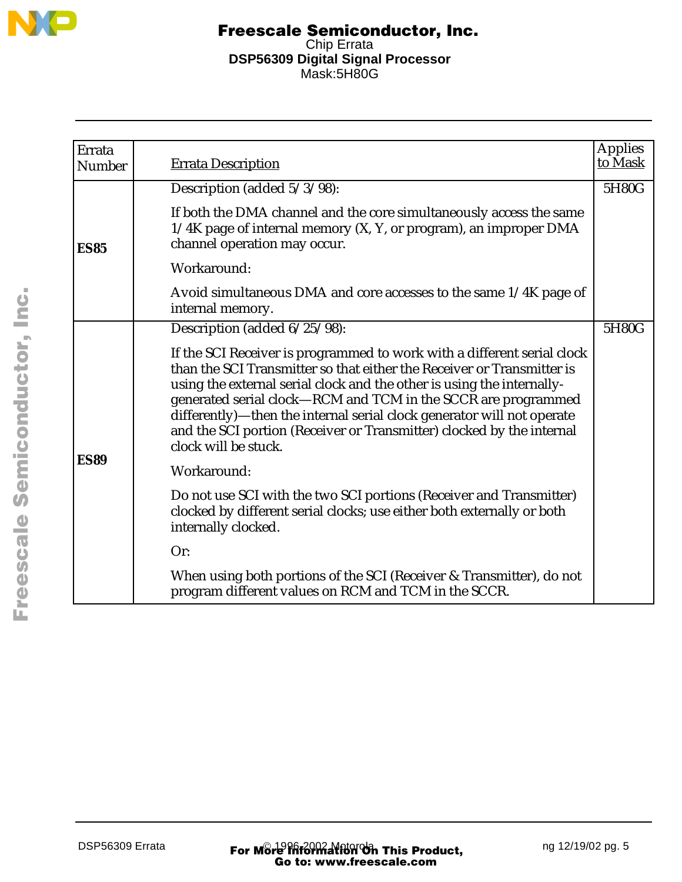

| Errata<br><b>Number</b> | <b>Errata Description</b>                                                                                                                                                                                                                                                                                                                                                                                                                                               | <b>Applies</b><br>to Mask |
|-------------------------|-------------------------------------------------------------------------------------------------------------------------------------------------------------------------------------------------------------------------------------------------------------------------------------------------------------------------------------------------------------------------------------------------------------------------------------------------------------------------|---------------------------|
|                         | Description (added 5/3/98):                                                                                                                                                                                                                                                                                                                                                                                                                                             | 5H80G                     |
| <b>ES85</b>             | If both the DMA channel and the core simultaneously access the same<br>1/4K page of internal memory (X, Y, or program), an improper DMA<br>channel operation may occur.                                                                                                                                                                                                                                                                                                 |                           |
|                         | Workaround:                                                                                                                                                                                                                                                                                                                                                                                                                                                             |                           |
|                         | Avoid simultaneous DMA and core accesses to the same 1/4K page of<br>internal memory.                                                                                                                                                                                                                                                                                                                                                                                   |                           |
|                         | Description (added 6/25/98):                                                                                                                                                                                                                                                                                                                                                                                                                                            | 5H80G                     |
|                         | If the SCI Receiver is programmed to work with a different serial clock<br>than the SCI Transmitter so that either the Receiver or Transmitter is<br>using the external serial clock and the other is using the internally-<br>generated serial clock-RCM and TCM in the SCCR are programmed<br>differently)-then the internal serial clock generator will not operate<br>and the SCI portion (Receiver or Transmitter) clocked by the internal<br>clock will be stuck. |                           |
| <b>ES89</b>             | Workaround:                                                                                                                                                                                                                                                                                                                                                                                                                                                             |                           |
|                         | Do not use SCI with the two SCI portions (Receiver and Transmitter)<br>clocked by different serial clocks; use either both externally or both<br>internally clocked.                                                                                                                                                                                                                                                                                                    |                           |
|                         | Or:                                                                                                                                                                                                                                                                                                                                                                                                                                                                     |                           |
|                         | When using both portions of the SCI (Receiver & Transmitter), do not<br>program different values on RCM and TCM in the SCCR.                                                                                                                                                                                                                                                                                                                                            |                           |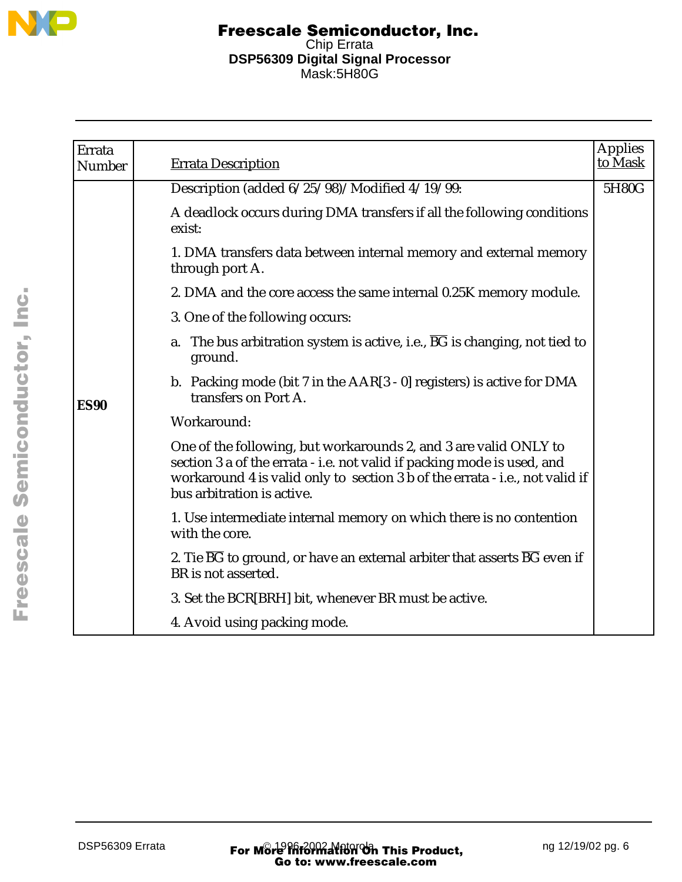

| Errata<br>Number | <b>Errata Description</b>                                                                                                                                                                                                                                 | Applies<br>to Mask |
|------------------|-----------------------------------------------------------------------------------------------------------------------------------------------------------------------------------------------------------------------------------------------------------|--------------------|
|                  | Description (added 6/25/98)/Modified 4/19/99:                                                                                                                                                                                                             | 5H80G              |
|                  | A deadlock occurs during DMA transfers if all the following conditions<br>exist:                                                                                                                                                                          |                    |
|                  | 1. DMA transfers data between internal memory and external memory<br>through port A.                                                                                                                                                                      |                    |
|                  | 2. DMA and the core access the same internal 0.25K memory module.                                                                                                                                                                                         |                    |
|                  | 3. One of the following occurs:                                                                                                                                                                                                                           |                    |
|                  | a. The bus arbitration system is active, i.e., $\overline{BG}$ is changing, not tied to<br>ground.                                                                                                                                                        |                    |
| <b>ES90</b>      | b. Packing mode (bit 7 in the $AAR[3 - 0]$ registers) is active for DMA<br>transfers on Port A.                                                                                                                                                           |                    |
|                  | Workaround:                                                                                                                                                                                                                                               |                    |
|                  | One of the following, but workarounds 2, and 3 are valid ONLY to<br>section 3 a of the errata - i.e. not valid if packing mode is used, and<br>workaround 4 is valid only to section 3 b of the errata - i.e., not valid if<br>bus arbitration is active. |                    |
|                  | 1. Use intermediate internal memory on which there is no contention<br>with the core.                                                                                                                                                                     |                    |
|                  | 2. Tie $\overline{BG}$ to ground, or have an external arbiter that asserts $\overline{BG}$ even if<br>BR is not asserted.                                                                                                                                 |                    |
|                  | 3. Set the BCR[BRH] bit, whenever BR must be active.                                                                                                                                                                                                      |                    |
|                  | 4. Avoid using packing mode.                                                                                                                                                                                                                              |                    |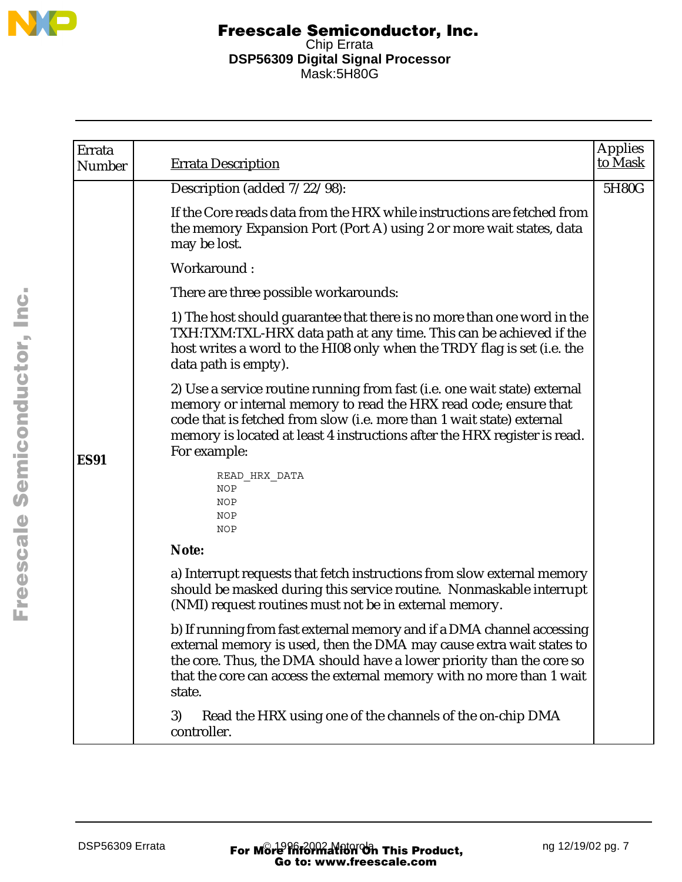

| Errata<br>Number | <b>Errata Description</b>                                                                                                                                                                                                                                                                                           | <b>Applies</b><br>to Mask |
|------------------|---------------------------------------------------------------------------------------------------------------------------------------------------------------------------------------------------------------------------------------------------------------------------------------------------------------------|---------------------------|
|                  | Description (added $7/22/98$ ):                                                                                                                                                                                                                                                                                     | 5H80G                     |
|                  | If the Core reads data from the HRX while instructions are fetched from<br>the memory Expansion Port (Port A) using 2 or more wait states, data<br>may be lost.                                                                                                                                                     |                           |
|                  | Workaround:                                                                                                                                                                                                                                                                                                         |                           |
|                  | There are three possible workarounds:                                                                                                                                                                                                                                                                               |                           |
|                  | 1) The host should guarantee that there is no more than one word in the<br>TXH:TXM:TXL-HRX data path at any time. This can be achieved if the<br>host writes a word to the HI08 only when the TRDY flag is set (i.e. the<br>data path is empty).                                                                    |                           |
| <b>ES91</b>      | 2) Use a service routine running from fast (i.e. one wait state) external<br>memory or internal memory to read the HRX read code; ensure that<br>code that is fetched from slow (i.e. more than 1 wait state) external<br>memory is located at least 4 instructions after the HRX register is read.<br>For example: |                           |
|                  | READ HRX DATA<br>NOP<br>NOP<br>NOP<br>NOP                                                                                                                                                                                                                                                                           |                           |
|                  | Note:                                                                                                                                                                                                                                                                                                               |                           |
|                  | a) Interrupt requests that fetch instructions from slow external memory<br>should be masked during this service routine. Nonmaskable interrupt<br>(NMI) request routines must not be in external memory.                                                                                                            |                           |
|                  | b) If running from fast external memory and if a DMA channel accessing<br>external memory is used, then the DMA may cause extra wait states to<br>the core. Thus, the DMA should have a lower priority than the core so<br>that the core can access the external memory with no more than 1 wait<br>state.          |                           |
|                  | Read the HRX using one of the channels of the on-chip DMA<br>3)<br>controller.                                                                                                                                                                                                                                      |                           |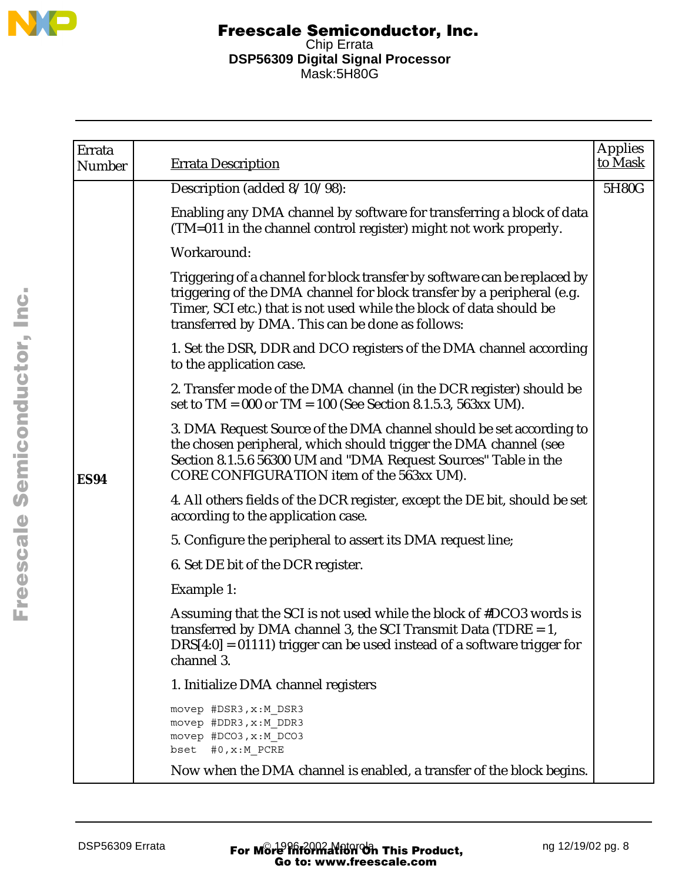

| Errata<br>Number | <b>Errata Description</b>                                                                                                                                                                                                                                                      | <b>Applies</b><br>to Mask |
|------------------|--------------------------------------------------------------------------------------------------------------------------------------------------------------------------------------------------------------------------------------------------------------------------------|---------------------------|
|                  | Description (added 8/10/98):                                                                                                                                                                                                                                                   | 5H80G                     |
|                  | Enabling any DMA channel by software for transferring a block of data<br>(TM=011 in the channel control register) might not work properly.                                                                                                                                     |                           |
|                  | Workaround:                                                                                                                                                                                                                                                                    |                           |
|                  | Triggering of a channel for block transfer by software can be replaced by<br>triggering of the DMA channel for block transfer by a peripheral (e.g.<br>Timer, SCI etc.) that is not used while the block of data should be<br>transferred by DMA. This can be done as follows: |                           |
|                  | 1. Set the DSR, DDR and DCO registers of the DMA channel according<br>to the application case.                                                                                                                                                                                 |                           |
|                  | 2. Transfer mode of the DMA channel (in the DCR register) should be<br>set to $TM = 000$ or $TM = 100$ (See Section 8.1.5.3, 563xx UM).                                                                                                                                        |                           |
| <b>ES94</b>      | 3. DMA Request Source of the DMA channel should be set according to<br>the chosen peripheral, which should trigger the DMA channel (see<br>Section 8.1.5.6 56300 UM and "DMA Request Sources" Table in the<br>CORE CONFIGURATION item of the 563xx UM).                        |                           |
|                  | 4. All others fields of the DCR register, except the DE bit, should be set<br>according to the application case.                                                                                                                                                               |                           |
|                  | 5. Configure the peripheral to assert its DMA request line;                                                                                                                                                                                                                    |                           |
|                  | 6. Set DE bit of the DCR register.                                                                                                                                                                                                                                             |                           |
|                  | Example 1:                                                                                                                                                                                                                                                                     |                           |
|                  | Assuming that the SCI is not used while the block of #DCO3 words is<br>transferred by DMA channel 3, the SCI Transmit Data (TDRE $= 1$ ,<br>$DRS[4:0] = 01111$ trigger can be used instead of a software trigger for<br>channel 3.                                             |                           |
|                  | 1. Initialize DMA channel registers                                                                                                                                                                                                                                            |                           |
|                  | movep #DSR3, x:M DSR3<br>movep #DDR3, x:M DDR3<br>movep #DCO3, x:M DCO3<br>bset #0, x: M PCRE                                                                                                                                                                                  |                           |
|                  | Now when the DMA channel is enabled, a transfer of the block begins.                                                                                                                                                                                                           |                           |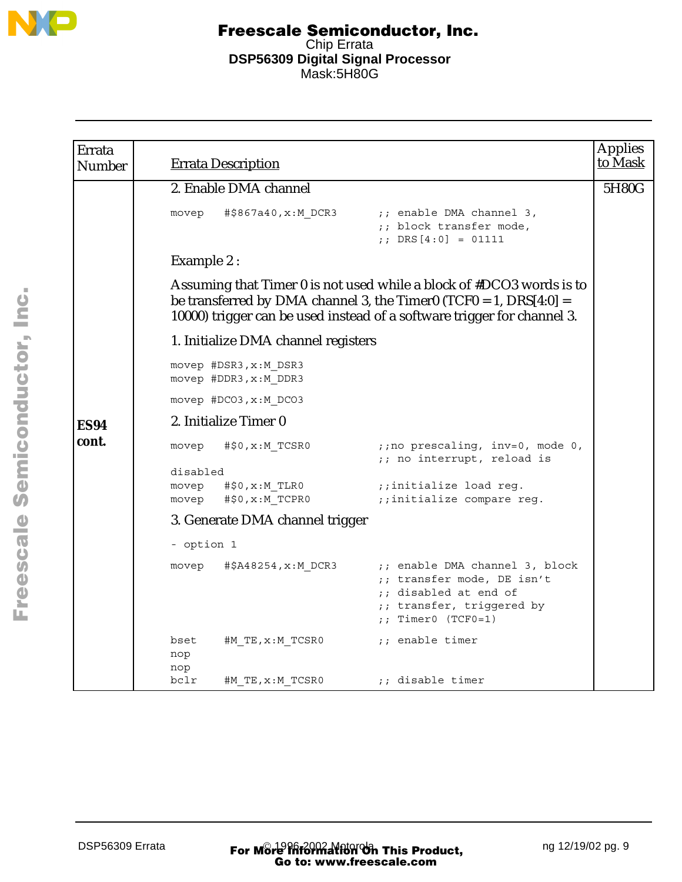

| Errata<br><b>Number</b> |                            | <b>Errata Description</b>                      |                                                                                                                                                                                                                        | <b>Applies</b><br>to Mask |
|-------------------------|----------------------------|------------------------------------------------|------------------------------------------------------------------------------------------------------------------------------------------------------------------------------------------------------------------------|---------------------------|
|                         |                            | 2. Enable DMA channel                          |                                                                                                                                                                                                                        | 5H80G                     |
|                         | movep                      | #\$867a40, x: M DCR3                           | ;; enable DMA channel 3,<br>;; block transfer mode,<br>;; DRS $[4:0] = 01111$                                                                                                                                          |                           |
|                         | Example 2:                 |                                                |                                                                                                                                                                                                                        |                           |
|                         |                            |                                                | Assuming that Timer 0 is not used while a block of #DCO3 words is to<br>be transferred by DMA channel 3, the Timer0 (TCF0 = 1, $DRS[4:0] =$<br>10000) trigger can be used instead of a software trigger for channel 3. |                           |
|                         |                            | 1. Initialize DMA channel registers            |                                                                                                                                                                                                                        |                           |
|                         |                            | movep #DSR3, x:M DSR3<br>movep #DDR3, x:M DDR3 |                                                                                                                                                                                                                        |                           |
|                         |                            | movep #DCO3, x:M DCO3                          |                                                                                                                                                                                                                        |                           |
| <b>ES94</b>             |                            | 2. Initialize Timer 0                          |                                                                                                                                                                                                                        |                           |
| cont.                   | movep                      | #\$0, x: M TCSR0                               | ;; no prescaling, inv=0, mode 0,<br>;; no interrupt, reload is                                                                                                                                                         |                           |
|                         | disabled<br>movep<br>movep | #\$0,x:M TLR0<br>#\$0, x: M TCPR0              | ;;initialize load reg.<br>;;initialize compare reg.                                                                                                                                                                    |                           |
|                         |                            | 3. Generate DMA channel trigger                |                                                                                                                                                                                                                        |                           |
|                         | - option 1                 |                                                |                                                                                                                                                                                                                        |                           |
|                         | movep                      | #\$A48254,x:M DCR3                             | ;; enable DMA channel 3, block<br>;; transfer mode, DE isn't<br>;; disabled at end of<br>;; transfer, triggered by<br>$:$ Timer0 (TCF0=1)                                                                              |                           |
|                         | bset<br>nop<br>nop         | #M TE,x:M TCSR0                                | ;; enable timer                                                                                                                                                                                                        |                           |
|                         | bclr                       | #M TE, x:M TCSR0                               | ;; disable timer                                                                                                                                                                                                       |                           |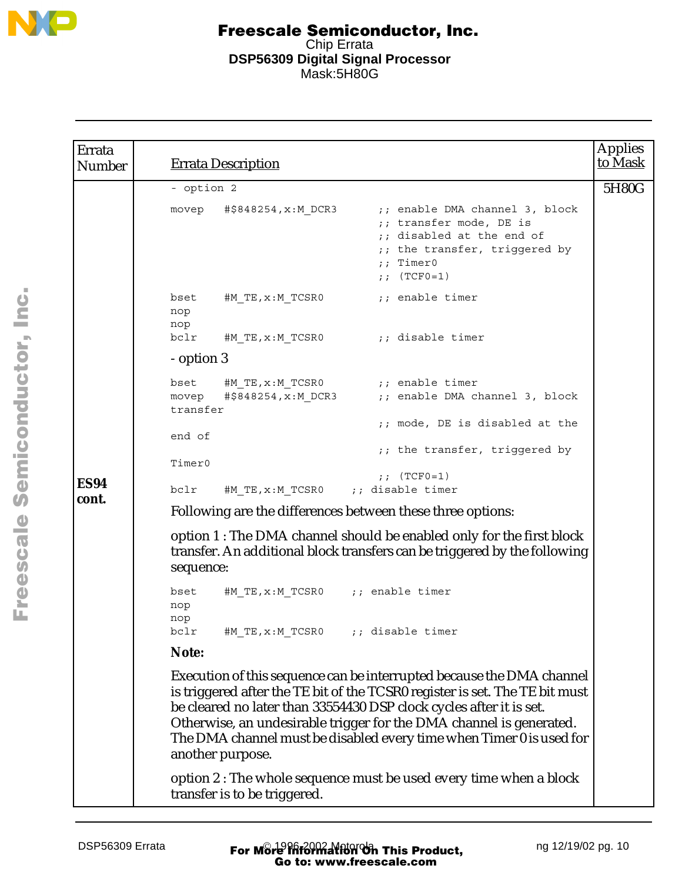

| Errata<br><b>Number</b> | <b>Errata Description</b>                                                                                                                                                                                                                                                                                                                                                                      | <b>Applies</b><br>to Mask |
|-------------------------|------------------------------------------------------------------------------------------------------------------------------------------------------------------------------------------------------------------------------------------------------------------------------------------------------------------------------------------------------------------------------------------------|---------------------------|
|                         | - option 2                                                                                                                                                                                                                                                                                                                                                                                     | 5H80G                     |
|                         | #\$848254,x:M DCR3<br>;; enable DMA channel 3, block<br>movep<br>;; transfer mode, DE is<br>;; disabled at the end of<br>;; the transfer, triggered by<br>;; Timer0<br>;; $(TCF0=1)$                                                                                                                                                                                                           |                           |
|                         | ;; enable timer<br>bset<br>#M TE,x:M TCSR0<br>nop<br>nop                                                                                                                                                                                                                                                                                                                                       |                           |
|                         | bclr<br>#M TE, $x : M$ TCSR0 $\qquad \qquad ;$ disable timer                                                                                                                                                                                                                                                                                                                                   |                           |
|                         | - option 3                                                                                                                                                                                                                                                                                                                                                                                     |                           |
|                         | #M TE, $x : M$ TCSR0 $\qquad \qquad ;$ enable timer<br>bset                                                                                                                                                                                                                                                                                                                                    |                           |
|                         | #\$848254,x:M DCR3<br>;; enable DMA channel 3, block<br>movep<br>transfer                                                                                                                                                                                                                                                                                                                      |                           |
|                         | ;; mode, DE is disabled at the<br>end of                                                                                                                                                                                                                                                                                                                                                       |                           |
|                         | ;; the transfer, triggered by                                                                                                                                                                                                                                                                                                                                                                  |                           |
| <b>ES94</b>             | Timer0<br>;; $(TCF0=1)$                                                                                                                                                                                                                                                                                                                                                                        |                           |
| cont.                   | #M TE, x: M TCSR0 ;; disable timer<br>bclr                                                                                                                                                                                                                                                                                                                                                     |                           |
|                         | Following are the differences between these three options:                                                                                                                                                                                                                                                                                                                                     |                           |
|                         | option 1 : The DMA channel should be enabled only for the first block<br>transfer. An additional block transfers can be triggered by the following<br>sequence:                                                                                                                                                                                                                                |                           |
|                         | bset<br>#M TE, $x : M$ TCSR0 ;; enable timer<br>nop<br>nop                                                                                                                                                                                                                                                                                                                                     |                           |
|                         | bclr<br>#M TE, x: M TCSR0<br>;; disable timer                                                                                                                                                                                                                                                                                                                                                  |                           |
|                         | Note:                                                                                                                                                                                                                                                                                                                                                                                          |                           |
|                         | Execution of this sequence can be interrupted because the DMA channel<br>is triggered after the TE bit of the TCSR0 register is set. The TE bit must<br>be cleared no later than 33554430 DSP clock cycles after it is set.<br>Otherwise, an undesirable trigger for the DMA channel is generated.<br>The DMA channel must be disabled every time when Timer 0 is used for<br>another purpose. |                           |
|                         | option 2 : The whole sequence must be used every time when a block<br>transfer is to be triggered.                                                                                                                                                                                                                                                                                             |                           |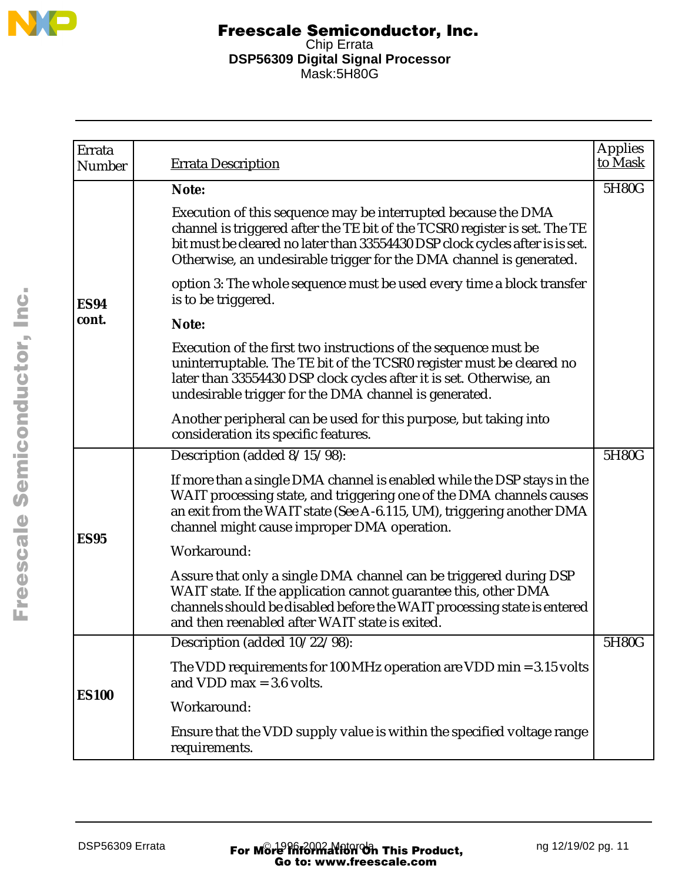

| Errata<br>Number | <b>Errata Description</b>                                                                                                                                                                                                                                                                          | <b>Applies</b><br>to Mask |
|------------------|----------------------------------------------------------------------------------------------------------------------------------------------------------------------------------------------------------------------------------------------------------------------------------------------------|---------------------------|
|                  | Note:                                                                                                                                                                                                                                                                                              | 5H80G                     |
|                  | Execution of this sequence may be interrupted because the DMA<br>channel is triggered after the TE bit of the TCSR0 register is set. The TE<br>bit must be cleared no later than 33554430 DSP clock cycles after is is set.<br>Otherwise, an undesirable trigger for the DMA channel is generated. |                           |
| <b>ES94</b>      | option 3: The whole sequence must be used every time a block transfer<br>is to be triggered.                                                                                                                                                                                                       |                           |
| cont.            | Note:                                                                                                                                                                                                                                                                                              |                           |
|                  | Execution of the first two instructions of the sequence must be<br>uninterruptable. The TE bit of the TCSR0 register must be cleared no<br>later than 33554430 DSP clock cycles after it is set. Otherwise, an<br>undesirable trigger for the DMA channel is generated.                            |                           |
|                  | Another peripheral can be used for this purpose, but taking into<br>consideration its specific features.                                                                                                                                                                                           |                           |
|                  | Description (added 8/15/98):                                                                                                                                                                                                                                                                       | 5H80G                     |
|                  | If more than a single DMA channel is enabled while the DSP stays in the<br>WAIT processing state, and triggering one of the DMA channels causes<br>an exit from the WAIT state (See A-6.115, UM), triggering another DMA<br>channel might cause improper DMA operation.                            |                           |
| <b>ES95</b>      | Workaround:                                                                                                                                                                                                                                                                                        |                           |
|                  | Assure that only a single DMA channel can be triggered during DSP<br>WAIT state. If the application cannot guarantee this, other DMA<br>channels should be disabled before the WAIT processing state is entered<br>and then reenabled after WAIT state is exited.                                  |                           |
|                  | Description (added 10/22/98):                                                                                                                                                                                                                                                                      | 5H80G                     |
| <b>ES100</b>     | The VDD requirements for 100 MHz operation are VDD min = $3.15$ volts<br>and VDD max $=$ 3.6 volts.                                                                                                                                                                                                |                           |
|                  | Workaround:                                                                                                                                                                                                                                                                                        |                           |
|                  | Ensure that the VDD supply value is within the specified voltage range<br>requirements.                                                                                                                                                                                                            |                           |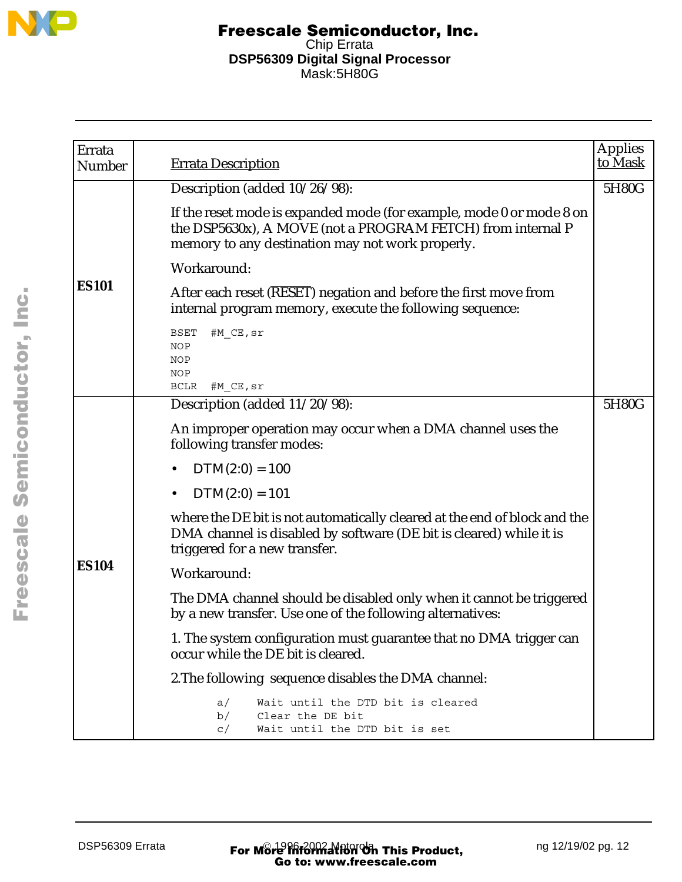

| Errata<br><b>Number</b> | <b>Errata Description</b>                                                                                                                                                               | <b>Applies</b><br>to Mask |
|-------------------------|-----------------------------------------------------------------------------------------------------------------------------------------------------------------------------------------|---------------------------|
|                         | Description (added 10/26/98):                                                                                                                                                           | 5H80G                     |
|                         | If the reset mode is expanded mode (for example, mode 0 or mode 8 on<br>the DSP5630x), A MOVE (not a PROGRAM FETCH) from internal P<br>memory to any destination may not work properly. |                           |
|                         | Workaround:                                                                                                                                                                             |                           |
| <b>ES101</b>            | After each reset (RESET) negation and before the first move from<br>internal program memory, execute the following sequence:                                                            |                           |
|                         | #M CE, sr<br>BSET<br>NOP<br>NOP<br><b>NOP</b><br><b>BCLR</b><br>#M CE, sr                                                                                                               |                           |
|                         | Description (added 11/20/98):                                                                                                                                                           | 5H80G                     |
|                         | An improper operation may occur when a DMA channel uses the<br>following transfer modes:                                                                                                |                           |
|                         | $DTM(2:0) = 100$<br>$\bullet$                                                                                                                                                           |                           |
|                         | $DTM(2:0) = 101$<br>$\bullet$                                                                                                                                                           |                           |
|                         | where the DE bit is not automatically cleared at the end of block and the<br>DMA channel is disabled by software (DE bit is cleared) while it is<br>triggered for a new transfer.       |                           |
| <b>ES104</b>            | Workaround:                                                                                                                                                                             |                           |
|                         | The DMA channel should be disabled only when it cannot be triggered<br>by a new transfer. Use one of the following alternatives:                                                        |                           |
|                         | 1. The system configuration must guarantee that no DMA trigger can<br>occur while the DE bit is cleared.                                                                                |                           |
|                         | 2. The following sequence disables the DMA channel:                                                                                                                                     |                           |
|                         | Wait until the DTD bit is cleared<br>a/<br>b/<br>Clear the DE bit<br>Wait until the DTD bit is set<br>C/                                                                                |                           |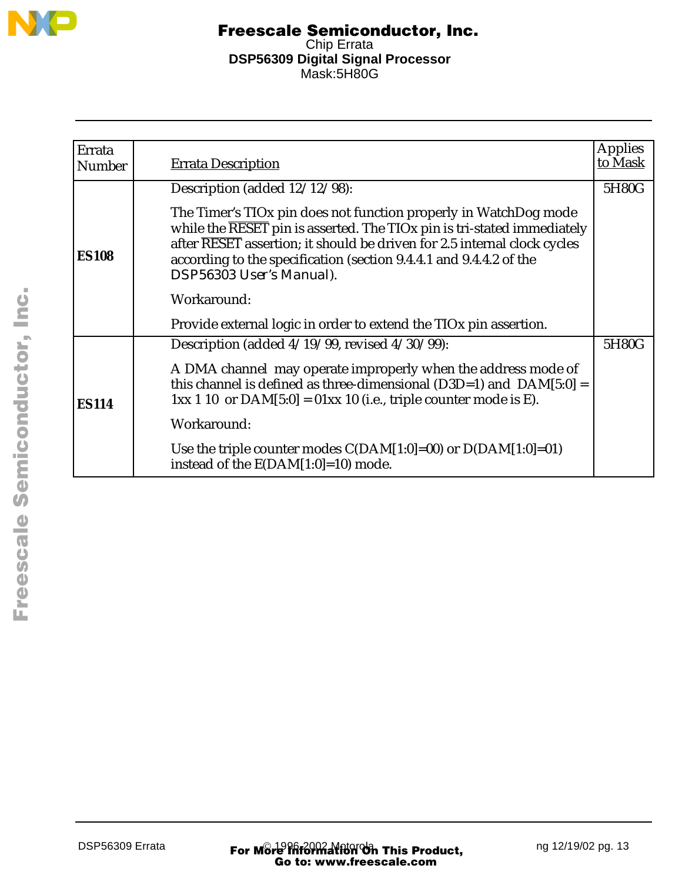

| Errata<br><b>Number</b> | <b>Errata Description</b>                                                                                                                                                                                                                                                                                                 | <b>Applies</b><br>to Mask |
|-------------------------|---------------------------------------------------------------------------------------------------------------------------------------------------------------------------------------------------------------------------------------------------------------------------------------------------------------------------|---------------------------|
|                         |                                                                                                                                                                                                                                                                                                                           |                           |
|                         | Description (added 12/12/98):                                                                                                                                                                                                                                                                                             | 5H80G                     |
| <b>ES108</b>            | The Timer's TIOx pin does not function properly in WatchDog mode<br>while the RESET pin is asserted. The TIOx pin is tri-stated immediately<br>after RESET assertion; it should be driven for 2.5 internal clock cycles<br>according to the specification (section 9.4.4.1 and 9.4.4.2 of the<br>DSP56303 User's Manual). |                           |
|                         | Workaround:                                                                                                                                                                                                                                                                                                               |                           |
|                         | Provide external logic in order to extend the TIO <sub>x</sub> pin assertion.                                                                                                                                                                                                                                             |                           |
|                         | Description (added $4/19/99$ , revised $4/30/99$ ):                                                                                                                                                                                                                                                                       | 5H80G                     |
| <b>ES114</b>            | A DMA channel may operate improperly when the address mode of<br>this channel is defined as three-dimensional ( $D3D=1$ ) and $DAM[5:0] =$<br>$1xx 110$ or DAM $[5:0] = 01xx 10$ (i.e., triple counter mode is E).                                                                                                        |                           |
|                         | Workaround:                                                                                                                                                                                                                                                                                                               |                           |
|                         | Use the triple counter modes $C(DAM[1:0]=00)$ or $D(DAM[1:0]=01)$<br>instead of the E(DAM[1:0]=10) mode.                                                                                                                                                                                                                  |                           |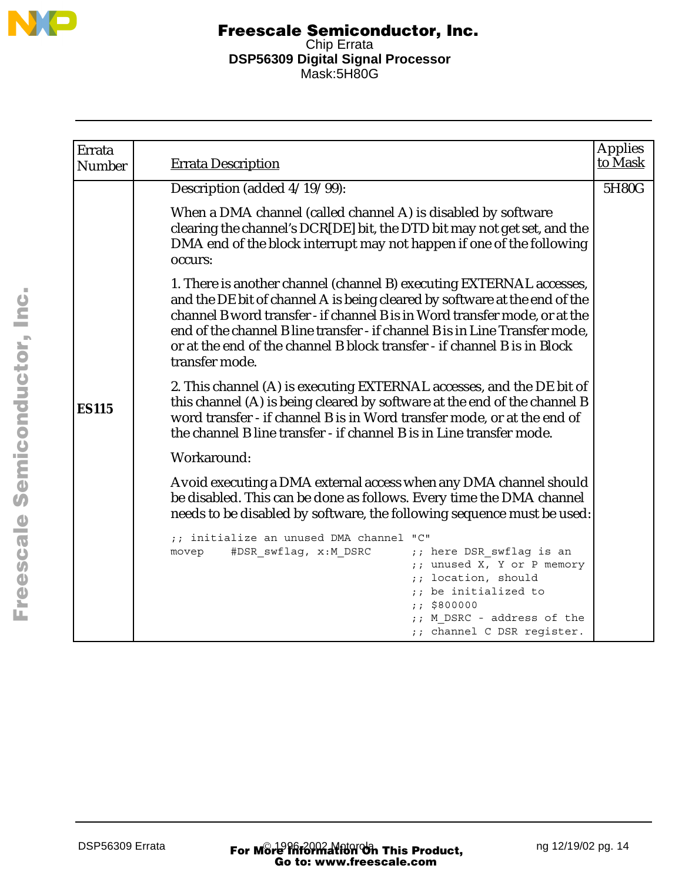

| Errata<br><b>Number</b> | <b>Errata Description</b>                                                                                                                                                                                                                                                                                                                                                                                     | <b>Applies</b><br>to Mask |
|-------------------------|---------------------------------------------------------------------------------------------------------------------------------------------------------------------------------------------------------------------------------------------------------------------------------------------------------------------------------------------------------------------------------------------------------------|---------------------------|
|                         | Description (added 4/19/99):                                                                                                                                                                                                                                                                                                                                                                                  | 5H80G                     |
|                         | When a DMA channel (called channel A) is disabled by software<br>clearing the channel's DCR[DE] bit, the DTD bit may not get set, and the<br>DMA end of the block interrupt may not happen if one of the following<br>occurs:                                                                                                                                                                                 |                           |
|                         | 1. There is another channel (channel B) executing EXTERNAL accesses,<br>and the DE bit of channel A is being cleared by software at the end of the<br>channel B word transfer - if channel B is in Word transfer mode, or at the<br>end of the channel B line transfer - if channel B is in Line Transfer mode,<br>or at the end of the channel B block transfer - if channel B is in Block<br>transfer mode. |                           |
| <b>ES115</b>            | 2. This channel (A) is executing EXTERNAL accesses, and the DE bit of<br>this channel (A) is being cleared by software at the end of the channel B<br>word transfer - if channel B is in Word transfer mode, or at the end of<br>the channel B line transfer - if channel B is in Line transfer mode.                                                                                                         |                           |
|                         | Workaround:                                                                                                                                                                                                                                                                                                                                                                                                   |                           |
|                         | Avoid executing a DMA external access when any DMA channel should<br>be disabled. This can be done as follows. Every time the DMA channel<br>needs to be disabled by software, the following sequence must be used:                                                                                                                                                                                           |                           |
|                         | ;; initialize an unused DMA channel "C"<br>#DSR swflag, x:M DSRC<br>;; here DSR swflag is an<br>movep<br>;; unused X, Y or P memory<br>location, should<br>;; be initialized to<br>\$800000<br>M DSRC - address of the<br>;; channel C DSR register.                                                                                                                                                          |                           |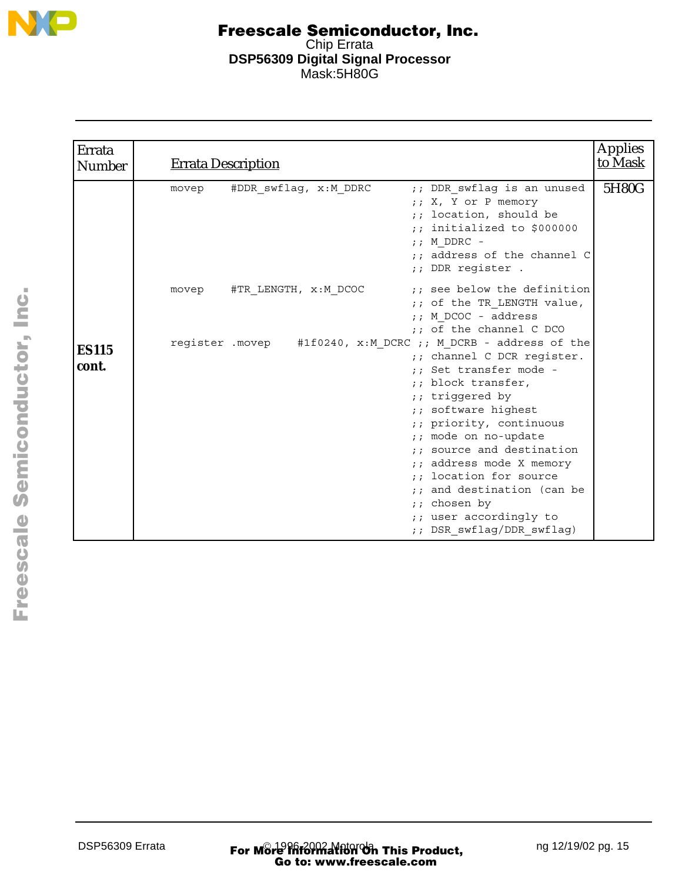

| Errata<br><b>Number</b> | <b>Errata Description</b>                                                                                                                                                                                                                    | <b>Applies</b><br>to Mask |
|-------------------------|----------------------------------------------------------------------------------------------------------------------------------------------------------------------------------------------------------------------------------------------|---------------------------|
|                         | ;; DDR swflag is an unused<br>#DDR swflag, x:M DDRC<br>movep<br>;; X, Y or P memory<br>location, should be<br>$\mathbf{r}$ :<br>$;$ initialized to \$000000<br>$;$ M DDRC -<br>;; address of the channel C<br>;; DDR register .              | 5H80G                     |
| <b>ES115</b>            | ;; see below the definition<br>#TR LENGTH, x:M DCOC<br>movep<br>;; of the TR LENGTH value,<br>;; M DCOC - address<br>;; of the channel C DCO<br>register . movep #1f0240, x: M DCRC ;; M DCRB - address of the<br>;; channel C DCR register. |                           |
| cont.                   | :: Set transfer mode -<br>;; block transfer,<br>;; triggered by<br>;; software highest<br>;; priority, continuous<br>;; mode on no-update                                                                                                    |                           |
|                         | source and destination<br>$\mathcal{L}$<br>;; address mode X memory<br>;; location for source<br>and destination (can be<br>chosen by<br>$\ddot{i}$<br>;; user accordingly to<br>;; DSR swflag/DDR swflag)                                   |                           |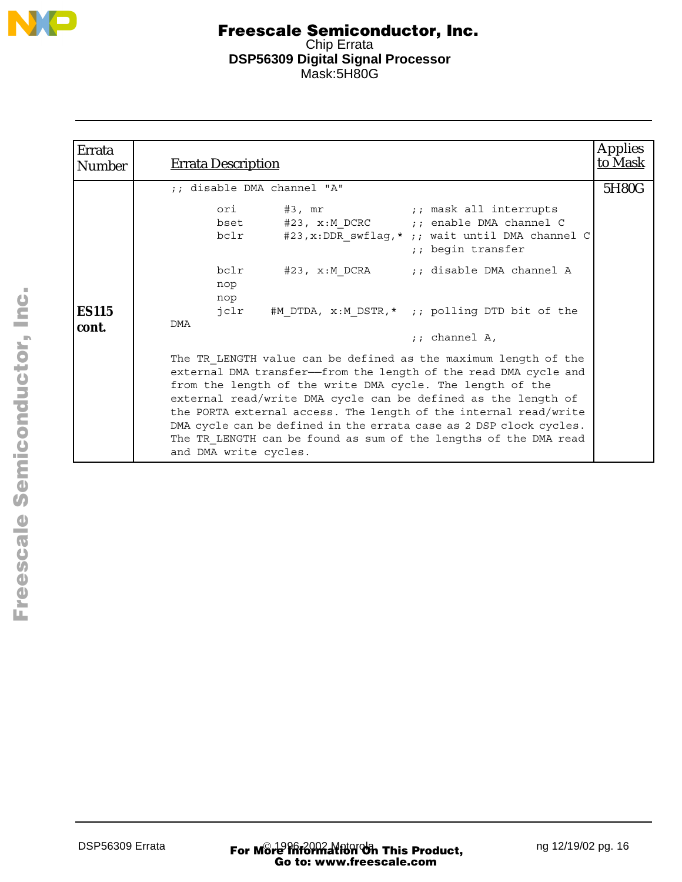

| Errata<br>Number      | <b>Errata Description</b>                                                                                                                                                                                                                                                                                                                                                                                                                                                                               | <b>Applies</b><br>to Mask |
|-----------------------|---------------------------------------------------------------------------------------------------------------------------------------------------------------------------------------------------------------------------------------------------------------------------------------------------------------------------------------------------------------------------------------------------------------------------------------------------------------------------------------------------------|---------------------------|
|                       | ;; disable DMA channel "A"                                                                                                                                                                                                                                                                                                                                                                                                                                                                              | 5H80G                     |
|                       | ;; mask all interrupts<br>#3, mr<br>ori<br>bset #23, x:M DCRC ;; enable DMA channel C<br>bclr #23, x: DDR swflag, * ;; wait until DMA channel C<br>;; begin transfer                                                                                                                                                                                                                                                                                                                                    |                           |
| <b>ES115</b><br>cont. | bclr<br>;; disable DMA channel A<br>#23, x:M DCRA<br>nop<br>nop<br>#M DTDA, x:M DSTR,* ;; polling DTD bit of the<br>jclr<br>DMA<br>$:$ ; channel A,                                                                                                                                                                                                                                                                                                                                                     |                           |
|                       | The TR LENGTH value can be defined as the maximum length of the<br>external DMA transfer-from the length of the read DMA cycle and<br>from the length of the write DMA cycle. The length of the<br>external read/write DMA cycle can be defined as the length of<br>the PORTA external access. The length of the internal read/write<br>DMA cycle can be defined in the errata case as 2 DSP clock cycles.<br>The TR LENGTH can be found as sum of the lengths of the DMA read<br>and DMA write cycles. |                           |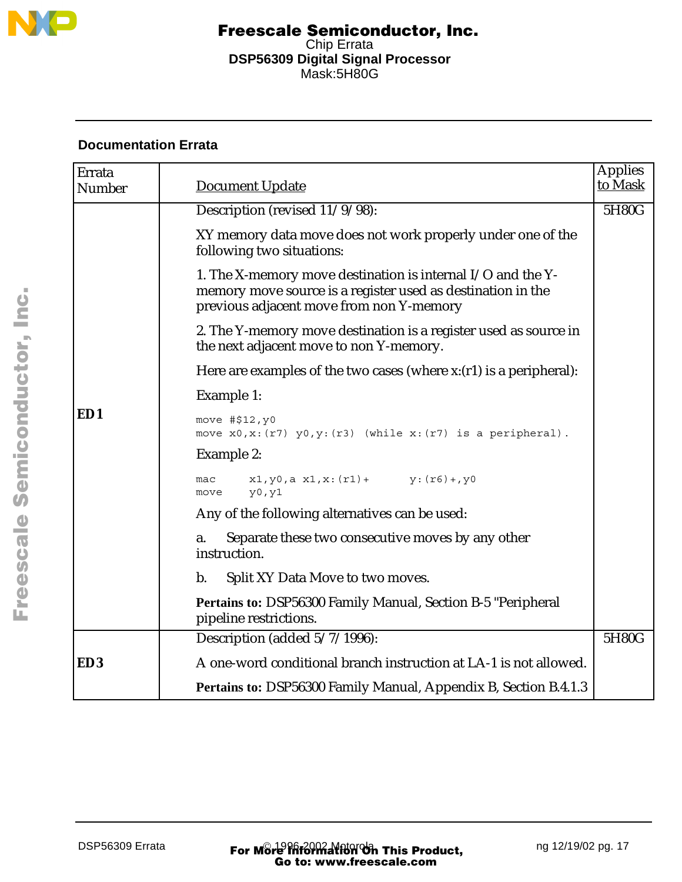

# **Documentation Errata**

| Errata<br>Number | <b>Document Update</b>                                                                                                                                                 | <b>Applies</b><br>to Mask |
|------------------|------------------------------------------------------------------------------------------------------------------------------------------------------------------------|---------------------------|
|                  | Description (revised 11/9/98):                                                                                                                                         | 5H80G                     |
|                  | XY memory data move does not work properly under one of the<br>following two situations:                                                                               |                           |
|                  | 1. The X-memory move destination is internal I/O and the Y-<br>memory move source is a register used as destination in the<br>previous adjacent move from non Y-memory |                           |
|                  | 2. The Y-memory move destination is a register used as source in<br>the next adjacent move to non Y-memory.                                                            |                           |
|                  | Here are examples of the two cases (where $x:(r1)$ is a peripheral):                                                                                                   |                           |
|                  | Example 1:                                                                                                                                                             |                           |
| ED1              | move #\$12, y0<br>move $x0, x: (r7)$ $y0, y: (r3)$ (while $x: (r7)$ is a peripheral).                                                                                  |                           |
|                  | Example 2:                                                                                                                                                             |                           |
|                  | $x1, y0, a x1, x: (r1) + y: (r6) + y0$<br>mac<br>y0, y1<br>move                                                                                                        |                           |
|                  | Any of the following alternatives can be used:                                                                                                                         |                           |
|                  | Separate these two consecutive moves by any other<br>a.<br>instruction.                                                                                                |                           |
|                  | $b$ .<br>Split XY Data Move to two moves.                                                                                                                              |                           |
|                  | <b>Pertains to: DSP56300 Family Manual, Section B-5 "Peripheral</b><br>pipeline restrictions.                                                                          |                           |
|                  | Description (added 5/7/1996):                                                                                                                                          | 5H80G                     |
| ED <sub>3</sub>  | A one-word conditional branch instruction at LA-1 is not allowed.                                                                                                      |                           |
|                  | Pertains to: DSP56300 Family Manual, Appendix B, Section B.4.1.3                                                                                                       |                           |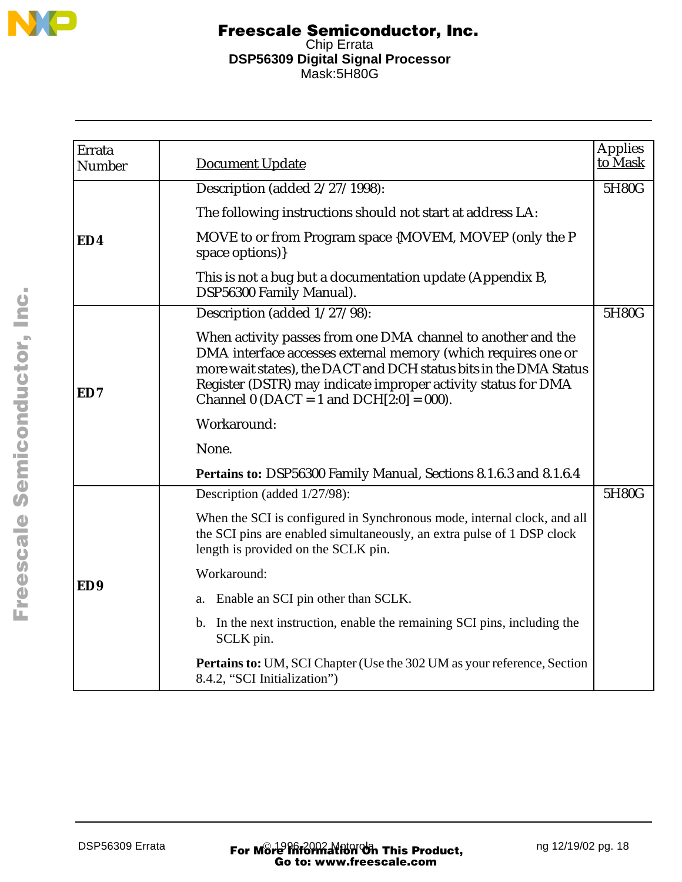

| Errata<br>Number | <b>Document Update</b>                                                                                                                                                                                                                                                                                              | Applies<br>to Mask |
|------------------|---------------------------------------------------------------------------------------------------------------------------------------------------------------------------------------------------------------------------------------------------------------------------------------------------------------------|--------------------|
|                  | Description (added 2/27/1998):                                                                                                                                                                                                                                                                                      | 5H80G              |
|                  | The following instructions should not start at address LA:                                                                                                                                                                                                                                                          |                    |
| ED4              | MOVE to or from Program space {MOVEM, MOVEP (only the P<br>space options)}                                                                                                                                                                                                                                          |                    |
|                  | This is not a bug but a documentation update (Appendix B,<br>DSP56300 Family Manual).                                                                                                                                                                                                                               |                    |
|                  | Description (added 1/27/98):                                                                                                                                                                                                                                                                                        | 5H80G              |
| ED7              | When activity passes from one DMA channel to another and the<br>DMA interface accesses external memory (which requires one or<br>more wait states), the DACT and DCH status bits in the DMA Status<br>Register (DSTR) may indicate improper activity status for DMA<br>Channel 0 (DACT = 1 and DCH $[2:0] = 000$ ). |                    |
|                  | Workaround:                                                                                                                                                                                                                                                                                                         |                    |
|                  | None.                                                                                                                                                                                                                                                                                                               |                    |
|                  | Pertains to: DSP56300 Family Manual, Sections 8.1.6.3 and 8.1.6.4                                                                                                                                                                                                                                                   |                    |
|                  | Description (added 1/27/98):                                                                                                                                                                                                                                                                                        | 5H80G              |
|                  | When the SCI is configured in Synchronous mode, internal clock, and all<br>the SCI pins are enabled simultaneously, an extra pulse of 1 DSP clock<br>length is provided on the SCLK pin.                                                                                                                            |                    |
|                  | Workaround:                                                                                                                                                                                                                                                                                                         |                    |
| ED <sub>9</sub>  | Enable an SCI pin other than SCLK.<br>a.                                                                                                                                                                                                                                                                            |                    |
|                  | b. In the next instruction, enable the remaining SCI pins, including the<br>SCLK pin.                                                                                                                                                                                                                               |                    |
|                  | <b>Pertains to:</b> UM, SCI Chapter (Use the 302 UM as your reference, Section<br>8.4.2, "SCI Initialization")                                                                                                                                                                                                      |                    |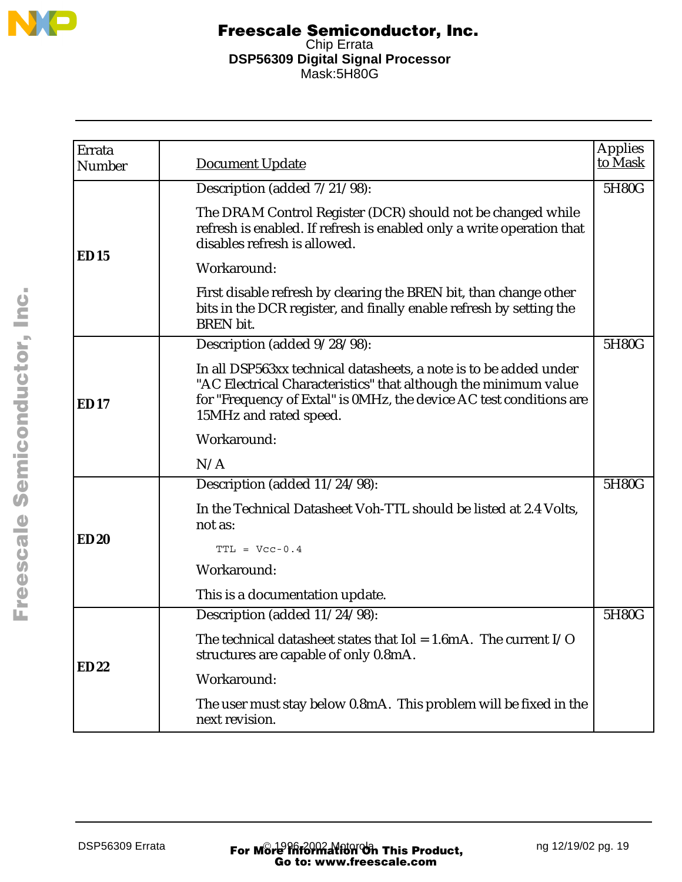

| Errata<br>Number | Document Update                                                                                                                                                                                                                       | <b>Applies</b><br>to Mask |
|------------------|---------------------------------------------------------------------------------------------------------------------------------------------------------------------------------------------------------------------------------------|---------------------------|
|                  | Description (added 7/21/98):                                                                                                                                                                                                          | 5H80G                     |
|                  | The DRAM Control Register (DCR) should not be changed while<br>refresh is enabled. If refresh is enabled only a write operation that<br>disables refresh is allowed.                                                                  |                           |
| ED15             | Workaround:                                                                                                                                                                                                                           |                           |
|                  | First disable refresh by clearing the BREN bit, than change other<br>bits in the DCR register, and finally enable refresh by setting the<br><b>BREN</b> bit.                                                                          |                           |
|                  | Description (added 9/28/98):                                                                                                                                                                                                          | 5H80G                     |
| ED17             | In all DSP563xx technical datasheets, a note is to be added under<br>"AC Electrical Characteristics" that although the minimum value<br>for "Frequency of Extal" is 0MHz, the device AC test conditions are<br>15MHz and rated speed. |                           |
|                  | Workaround:                                                                                                                                                                                                                           |                           |
|                  | N/A                                                                                                                                                                                                                                   |                           |
|                  | Description (added 11/24/98):                                                                                                                                                                                                         | 5H80G                     |
|                  | In the Technical Datasheet Voh-TTL should be listed at 2.4 Volts,<br>not as:                                                                                                                                                          |                           |
| <b>ED20</b>      | $TTL = Vcc-0.4$                                                                                                                                                                                                                       |                           |
|                  | Workaround:                                                                                                                                                                                                                           |                           |
|                  | This is a documentation update.                                                                                                                                                                                                       |                           |
|                  | Description (added 11/24/98):                                                                                                                                                                                                         | 5H80G                     |
|                  | The technical datasheet states that $I$ ol = 1.6mA. The current $I/O$<br>structures are capable of only 0.8mA.                                                                                                                        |                           |
| <b>ED22</b>      | Workaround:                                                                                                                                                                                                                           |                           |
|                  | The user must stay below 0.8mA. This problem will be fixed in the<br>next revision.                                                                                                                                                   |                           |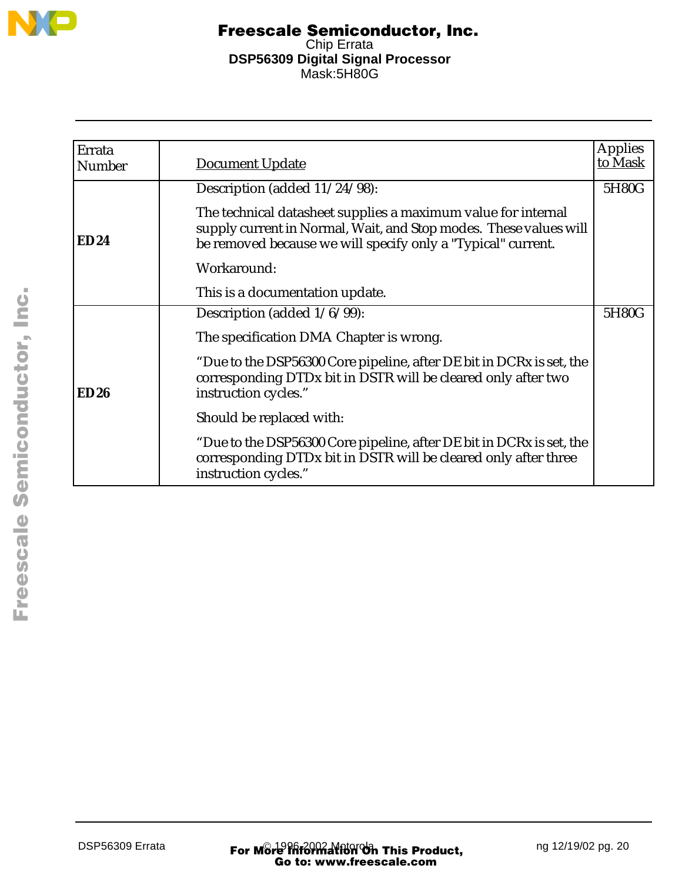

| Errata<br><b>Number</b> | Document Update                                                                                                                                                                                    | <b>Applies</b><br>to Mask |
|-------------------------|----------------------------------------------------------------------------------------------------------------------------------------------------------------------------------------------------|---------------------------|
|                         | Description (added 11/24/98):                                                                                                                                                                      | 5H80G                     |
| <b>ED24</b>             | The technical datasheet supplies a maximum value for internal<br>supply current in Normal, Wait, and Stop modes. These values will<br>be removed because we will specify only a "Typical" current. |                           |
|                         | Workaround:                                                                                                                                                                                        |                           |
|                         | This is a documentation update.                                                                                                                                                                    |                           |
|                         | Description (added $1/6/99$ ):                                                                                                                                                                     | 5H80G                     |
|                         | The specification DMA Chapter is wrong.                                                                                                                                                            |                           |
| ED26                    | "Due to the DSP56300 Core pipeline, after DE bit in DCRx is set, the<br>corresponding DTDx bit in DSTR will be cleared only after two<br>instruction cycles."                                      |                           |
|                         | Should be replaced with:                                                                                                                                                                           |                           |
|                         | "Due to the DSP56300 Core pipeline, after DE bit in DCRx is set, the<br>corresponding DTDx bit in DSTR will be cleared only after three<br>instruction cycles."                                    |                           |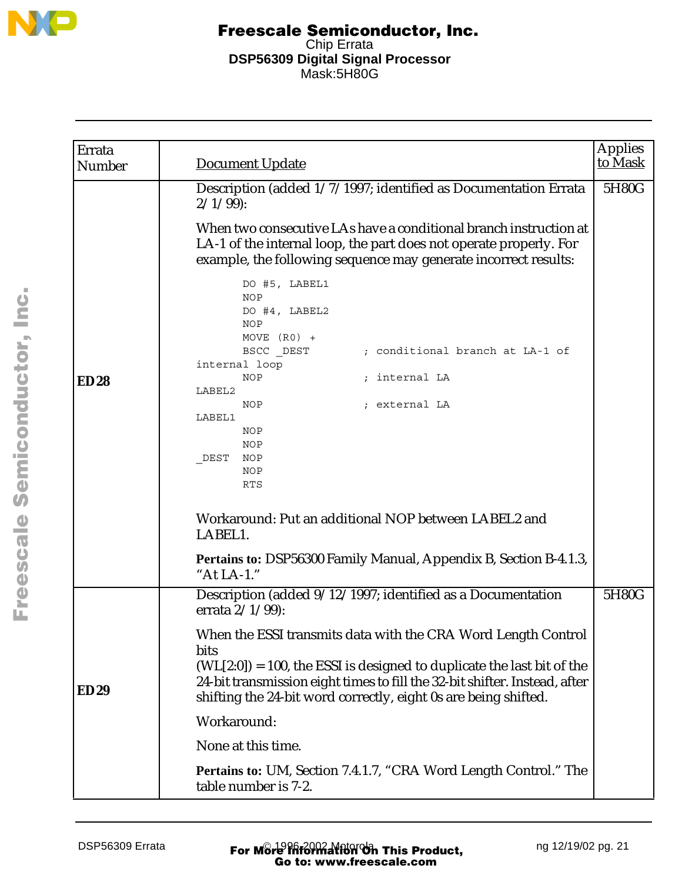

| Errata<br>Number | <b>Document Update</b>                                                                                                                                                                                                                                                                                                                                                                                                                                                                                                                                                                                                                                                                                                                   | <b>Applies</b><br>to Mask |
|------------------|------------------------------------------------------------------------------------------------------------------------------------------------------------------------------------------------------------------------------------------------------------------------------------------------------------------------------------------------------------------------------------------------------------------------------------------------------------------------------------------------------------------------------------------------------------------------------------------------------------------------------------------------------------------------------------------------------------------------------------------|---------------------------|
| <b>ED28</b>      | Description (added 1/7/1997; identified as Documentation Errata<br>$2/1/99$ :<br>When two consecutive LAs have a conditional branch instruction at<br>LA-1 of the internal loop, the part does not operate properly. For<br>example, the following sequence may generate incorrect results:<br>DO #5, LABEL1<br><b>NOP</b><br>DO #4, LABEL2<br><b>NOP</b><br>MOVE $(R0)$ +<br>BSCC DEST<br>; conditional branch at LA-1 of<br>internal loop<br><b>NOP</b><br>; internal LA<br>LABEL2<br>NOP<br>; external LA<br>LABEL1<br><b>NOP</b><br>NOP<br>NOP<br>DEST<br>NOP<br><b>RTS</b><br>Workaround: Put an additional NOP between LABEL2 and<br>LABEL1.<br>Pertains to: DSP56300 Family Manual, Appendix B, Section B-4.1.3,<br>"At $LA-1$ ." | 5H80G                     |
| <b>ED29</b>      | Description (added 9/12/1997; identified as a Documentation<br>errata $2/1/99$ :<br>When the ESSI transmits data with the CRA Word Length Control<br>bits<br>$(WL[2:0]) = 100$ , the ESSI is designed to duplicate the last bit of the<br>24-bit transmission eight times to fill the 32-bit shifter. Instead, after<br>shifting the 24-bit word correctly, eight 0s are being shifted.<br>Workaround:<br>None at this time.<br>Pertains to: UM, Section 7.4.1.7, "CRA Word Length Control." The<br>table number is 7-2.                                                                                                                                                                                                                 | 5H80G                     |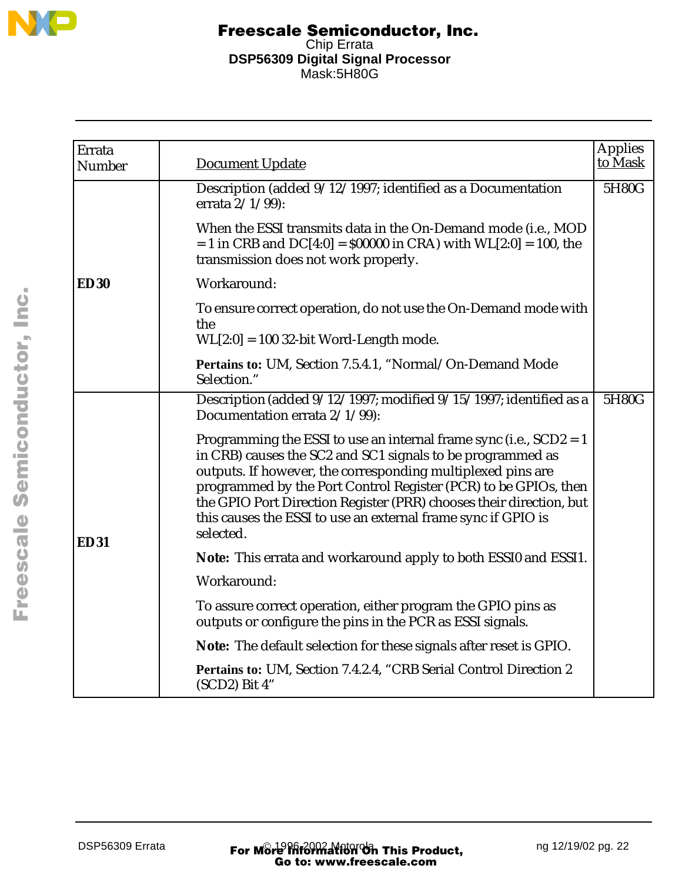

| Errata      |                                                                                                                                                                                                                                                                                                                                                                                                                           | <b>Applies</b> |
|-------------|---------------------------------------------------------------------------------------------------------------------------------------------------------------------------------------------------------------------------------------------------------------------------------------------------------------------------------------------------------------------------------------------------------------------------|----------------|
| Number      | <b>Document Update</b>                                                                                                                                                                                                                                                                                                                                                                                                    | to Mask        |
|             | Description (added 9/12/1997; identified as a Documentation<br>errata $2/1/99$ :                                                                                                                                                                                                                                                                                                                                          | 5H80G          |
|             | When the ESSI transmits data in the On-Demand mode (i.e., MOD<br>$= 1$ in CRB and DC[4:0] = \$00000 in CRA) with WL[2:0] = 100, the<br>transmission does not work properly.                                                                                                                                                                                                                                               |                |
| <b>ED30</b> | Workaround:                                                                                                                                                                                                                                                                                                                                                                                                               |                |
|             | To ensure correct operation, do not use the On-Demand mode with<br>the                                                                                                                                                                                                                                                                                                                                                    |                |
|             | $WL[2:0] = 100$ 32-bit Word-Length mode.                                                                                                                                                                                                                                                                                                                                                                                  |                |
|             | Pertains to: UM, Section 7.5.4.1, "Normal/On-Demand Mode<br>Selection."                                                                                                                                                                                                                                                                                                                                                   |                |
|             | Description (added 9/12/1997; modified 9/15/1997; identified as a<br>Documentation errata 2/1/99):                                                                                                                                                                                                                                                                                                                        | 5H80G          |
| <b>ED31</b> | Programming the ESSI to use an internal frame sync (i.e., $SCD2 = 1$<br>in CRB) causes the SC2 and SC1 signals to be programmed as<br>outputs. If however, the corresponding multiplexed pins are<br>programmed by the Port Control Register (PCR) to be GPIOs, then<br>the GPIO Port Direction Register (PRR) chooses their direction, but<br>this causes the ESSI to use an external frame sync if GPIO is<br>selected. |                |
|             | Note: This errata and workaround apply to both ESSI0 and ESSI1.                                                                                                                                                                                                                                                                                                                                                           |                |
|             | Workaround:                                                                                                                                                                                                                                                                                                                                                                                                               |                |
|             | To assure correct operation, either program the GPIO pins as<br>outputs or configure the pins in the PCR as ESSI signals.                                                                                                                                                                                                                                                                                                 |                |
|             | Note: The default selection for these signals after reset is GPIO.                                                                                                                                                                                                                                                                                                                                                        |                |
|             | Pertains to: UM, Section 7.4.2.4, "CRB Serial Control Direction 2<br>(SCD2) Bit 4"                                                                                                                                                                                                                                                                                                                                        |                |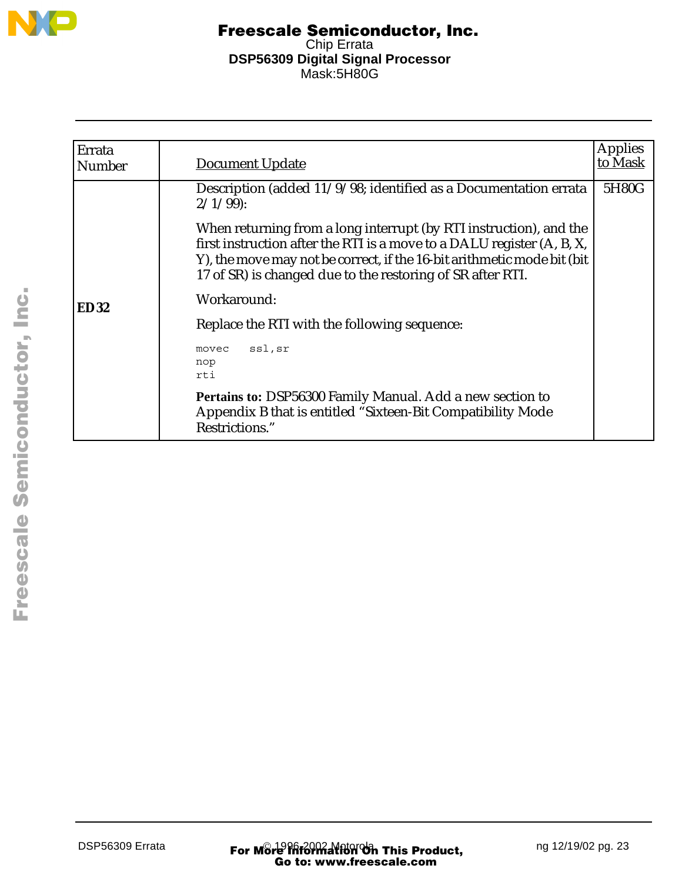

| Errata<br><b>Number</b> | <b>Document Update</b>                                                                                                                                                                                                                                                                 | <b>Applies</b><br>to Mask |
|-------------------------|----------------------------------------------------------------------------------------------------------------------------------------------------------------------------------------------------------------------------------------------------------------------------------------|---------------------------|
|                         | Description (added 11/9/98; identified as a Documentation errata<br>$2/1/99$ :                                                                                                                                                                                                         | 5H80G                     |
|                         | When returning from a long interrupt (by RTI instruction), and the<br>first instruction after the RTI is a move to a DALU register (A, B, X,<br>Y), the move may not be correct, if the 16-bit arithmetic mode bit (bit)<br>17 of SR) is changed due to the restoring of SR after RTI. |                           |
| <b>ED32</b>             | Workaround:                                                                                                                                                                                                                                                                            |                           |
|                         | Replace the RTI with the following sequence:                                                                                                                                                                                                                                           |                           |
|                         | ssl,sr<br>movec<br>nop<br>rti                                                                                                                                                                                                                                                          |                           |
|                         | Pertains to: DSP56300 Family Manual. Add a new section to<br>Appendix B that is entitled "Sixteen-Bit Compatibility Mode<br>Restrictions."                                                                                                                                             |                           |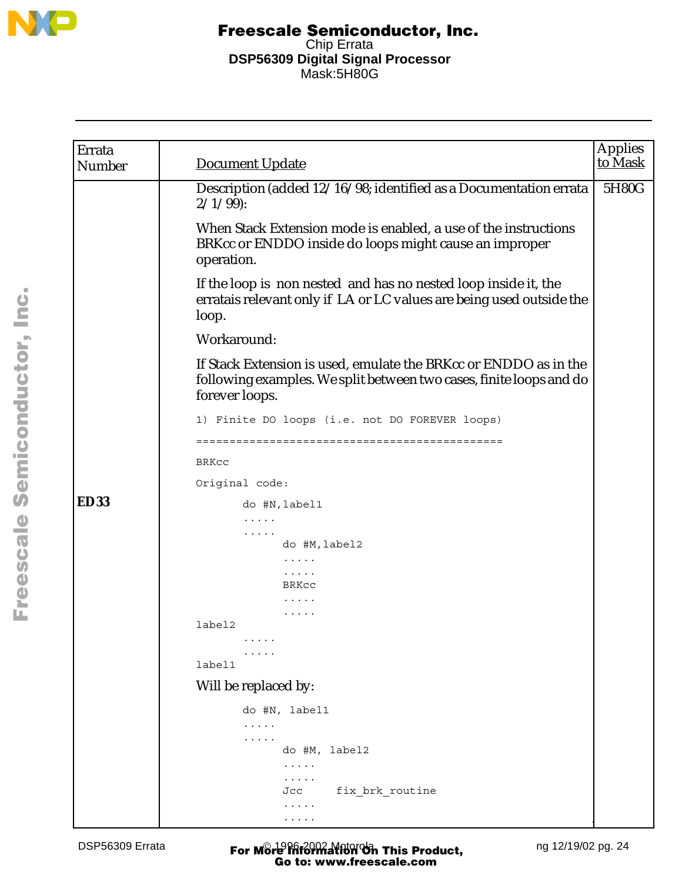

| Errata<br>Number | <b>Document Update</b>                                                                                                                                    | <b>Applies</b><br>to Mask |
|------------------|-----------------------------------------------------------------------------------------------------------------------------------------------------------|---------------------------|
|                  | Description (added 12/16/98; identified as a Documentation errata<br>$2/1/99$ :                                                                           | 5H80G                     |
|                  | When Stack Extension mode is enabled, a use of the instructions<br>BRKcc or ENDDO inside do loops might cause an improper<br>operation.                   |                           |
|                  | If the loop is non nested and has no nested loop inside it, the<br>erratais relevant only if LA or LC values are being used outside the<br>loop.          |                           |
|                  | Workaround:                                                                                                                                               |                           |
|                  | If Stack Extension is used, emulate the BRKcc or ENDDO as in the<br>following examples. We split between two cases, finite loops and do<br>forever loops. |                           |
|                  | 1) Finite DO loops (i.e. not DO FOREVER loops)                                                                                                            |                           |
|                  |                                                                                                                                                           |                           |
|                  | <b>BRKCC</b>                                                                                                                                              |                           |
|                  | Original code:                                                                                                                                            |                           |
| <b>ED33</b>      | do #N, label1                                                                                                                                             |                           |
|                  | .                                                                                                                                                         |                           |
|                  | .<br>do #M, label2                                                                                                                                        |                           |
|                  | .                                                                                                                                                         |                           |
|                  | .<br>BRKcc                                                                                                                                                |                           |
|                  |                                                                                                                                                           |                           |
|                  |                                                                                                                                                           |                           |
|                  | label2                                                                                                                                                    |                           |
|                  |                                                                                                                                                           |                           |
|                  | label1                                                                                                                                                    |                           |
|                  | Will be replaced by:                                                                                                                                      |                           |
|                  | do #N, label1                                                                                                                                             |                           |
|                  | .                                                                                                                                                         |                           |
|                  | .                                                                                                                                                         |                           |
|                  | do #M, label2<br>$\cdots\cdots\cdots$                                                                                                                     |                           |
|                  | .                                                                                                                                                         |                           |
|                  | fix brk routine<br>Jcc                                                                                                                                    |                           |
|                  | .                                                                                                                                                         |                           |
|                  | .                                                                                                                                                         |                           |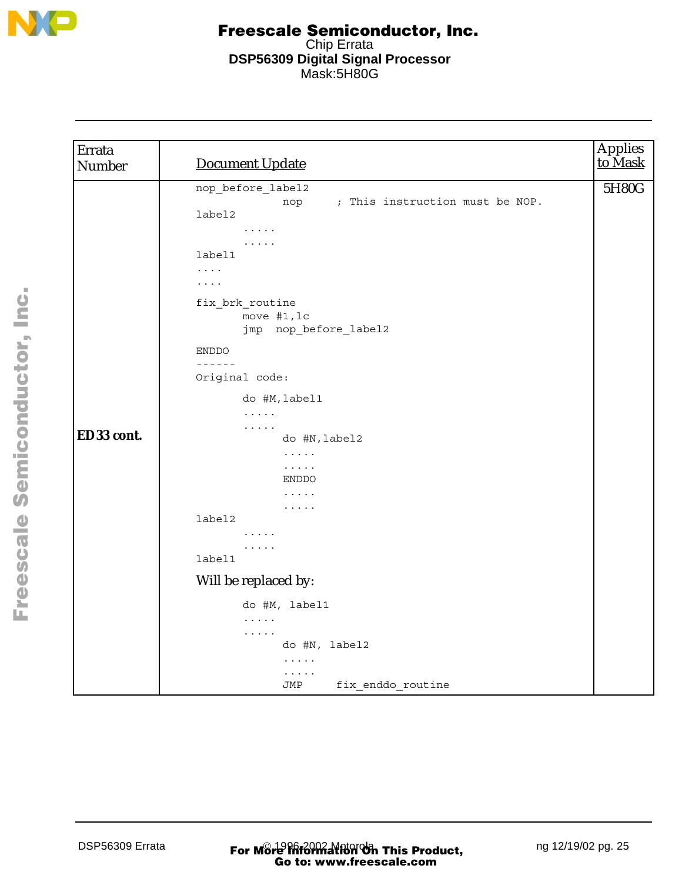

| Errata<br>Number | <b>Document Update</b>                                                                                                                                                                                                  | Applies<br>to Mask |
|------------------|-------------------------------------------------------------------------------------------------------------------------------------------------------------------------------------------------------------------------|--------------------|
|                  | nop_before_label2<br>nop ; This instruction must be NOP.<br>label2<br>$\cdots\cdots\cdots$<br>$\cdots$<br>label1<br>$\ldots$ . $\ldots$<br>$\cdots$<br>fix brk routine<br>move #1, lc<br>jmp nop_before_label2<br>ENDDO | 5H80G              |
| ED33 cont.       | $- - - - - -$<br>Original code:<br>do #M, label1<br>$\mathbb{Z}^2$ . The set of $\mathbb{Z}^2$<br>$\cdots$<br>do #N, label2                                                                                             |                    |
|                  | $\ldots$<br>$\mathbb{Z}^2$ . The set of $\mathbb{Z}^2$<br><b>ENDDO</b><br>$\cdots$<br>$\cdots$<br>label2                                                                                                                |                    |
|                  | $\cdots$<br>$\cdots$<br>label1                                                                                                                                                                                          |                    |
|                  | Will be replaced by:                                                                                                                                                                                                    |                    |
|                  | do #M, label1<br>$\mathbb{Z}^2$ . In the $\mathbb{Z}^2$<br>$\cdots$<br>do #N, label2<br>$\cdots$<br>.<br>fix_enddo_routine<br>JMP                                                                                       |                    |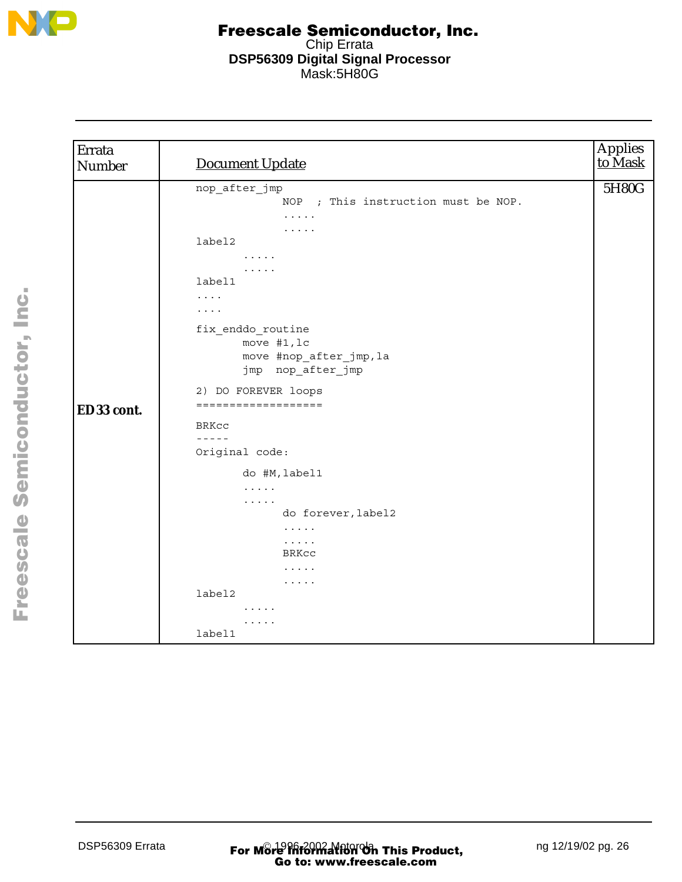

| Errata<br>Number | <b>Document Update</b>                                                                                                                                                                                                                                                                                                                                                                                                                                                                                                                                                                                                                                    | Applies<br>to Mask |
|------------------|-----------------------------------------------------------------------------------------------------------------------------------------------------------------------------------------------------------------------------------------------------------------------------------------------------------------------------------------------------------------------------------------------------------------------------------------------------------------------------------------------------------------------------------------------------------------------------------------------------------------------------------------------------------|--------------------|
| ED33 cont.       | nop_after_jmp<br>NOP ; This instruction must be NOP.<br>.<br>.<br>label2<br>$\begin{array}{cccccccccccccc} \bullet & \bullet & \bullet & \bullet & \bullet & \bullet & \bullet \end{array}$<br>$\cdots$<br>label1<br>$\cdots$<br>$\cdots$<br>fix_enddo_routine<br>move #1, lc<br>move #nop_after_jmp, la<br>jmp nop_after_jmp<br>2) DO FOREVER loops<br>===================<br>BRKCC<br>$- - - - -$<br>Original code:<br>do #M, label1<br>$\mathbb{Z}^2$ . The set of $\mathbb{Z}^2$<br>$\mathbf{z}$ , and $\mathbf{z}$ , and $\mathbf{z}$<br>do forever, label2<br>$\cdots$<br>$\cdots$<br>BRKCC<br>$\cdots$<br>$\cdots\cdots\cdots$<br>label2<br>.<br>. | 5H80G              |
|                  | label1                                                                                                                                                                                                                                                                                                                                                                                                                                                                                                                                                                                                                                                    |                    |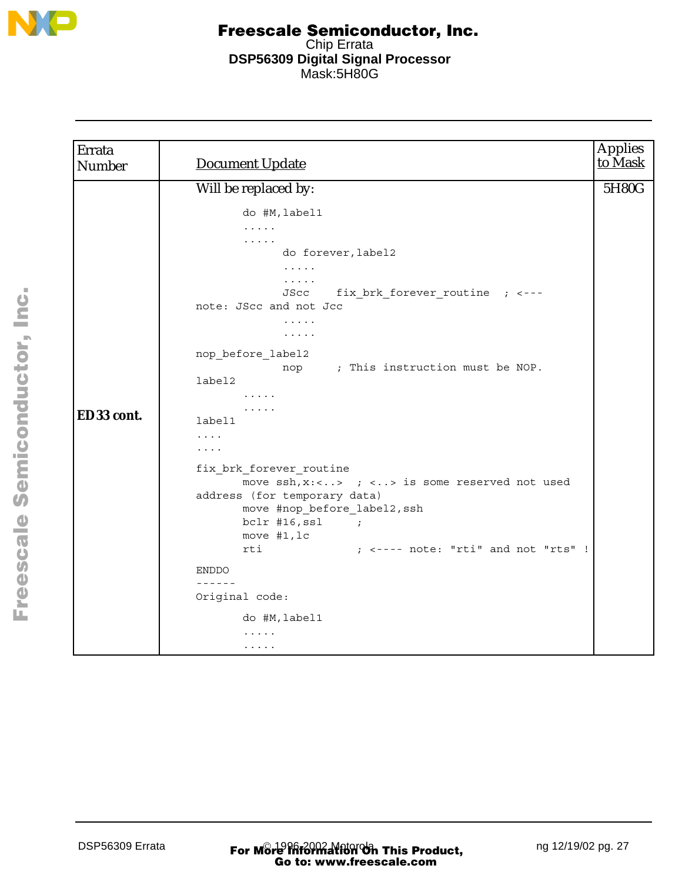

| Errata<br>Number | <b>Document Update</b>                                                                                                                                                                                                                                                                                                                                                                                                                                                                                                                                                                                                                                                                                                                                                                                                                                                                           | <b>Applies</b><br>to Mask |
|------------------|--------------------------------------------------------------------------------------------------------------------------------------------------------------------------------------------------------------------------------------------------------------------------------------------------------------------------------------------------------------------------------------------------------------------------------------------------------------------------------------------------------------------------------------------------------------------------------------------------------------------------------------------------------------------------------------------------------------------------------------------------------------------------------------------------------------------------------------------------------------------------------------------------|---------------------------|
|                  | Will be replaced by:                                                                                                                                                                                                                                                                                                                                                                                                                                                                                                                                                                                                                                                                                                                                                                                                                                                                             | 5H80G                     |
| ED33 cont.       | do #M, label1<br>$\frac{1}{2} \left( \frac{1}{2} \left( \frac{1}{2} \left( \frac{1}{2} \left( \frac{1}{2} \right) \right) \right) + \frac{1}{2} \left( \frac{1}{2} \left( \frac{1}{2} \left( \frac{1}{2} \right) \right) \right) \right)$<br>.<br>do forever, label2<br>$\mathbf{1}$ , and $\mathbf{1}$ , and $\mathbf{1}$<br>$\cdots$<br>fix brk forever routine ; <---<br>JScc<br>note: JScc and not Jcc<br>.<br>$\cdots\cdots\cdots$<br>nop_before_label2<br>nop ; This instruction must be NOP.<br>label2<br>$\cdots\cdots\cdots$<br>$\cdots$<br>label1<br>$\cdots$<br>$\cdots$<br>fix brk forever routine<br>move $\operatorname{ssh}$ , x: <> ; <> is some reserved not used<br>address (for temporary data)<br>move #nop before label2, ssh<br>$bc1r$ #16, ssl ;<br>move $#1, lc$<br>$;$ $\leftarrow$ ---- note: "rti" and not "rts" !<br>rti<br><b>ENDDO</b><br>------<br>Original code: |                           |
|                  | do #M, label1                                                                                                                                                                                                                                                                                                                                                                                                                                                                                                                                                                                                                                                                                                                                                                                                                                                                                    |                           |
|                  | $\cdots$<br>$\cdots\cdots\cdots$                                                                                                                                                                                                                                                                                                                                                                                                                                                                                                                                                                                                                                                                                                                                                                                                                                                                 |                           |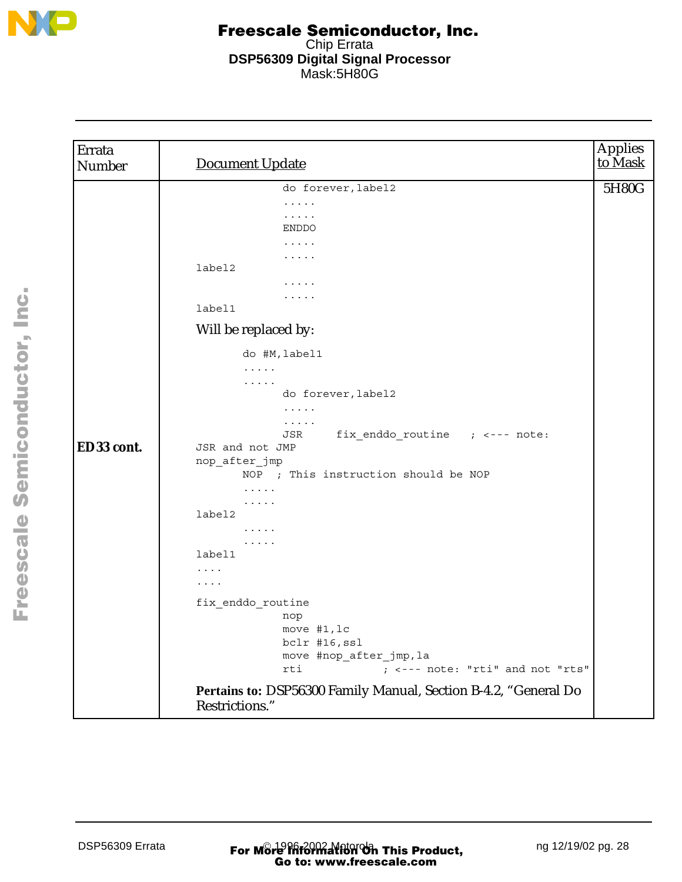

| Errata<br>Number | <b>Document Update</b>                                                                                                    | <b>Applies</b><br>to Mask |
|------------------|---------------------------------------------------------------------------------------------------------------------------|---------------------------|
|                  | do forever, label2                                                                                                        | 5H80G                     |
|                  | $\cdots\cdots\cdots$                                                                                                      |                           |
|                  | .                                                                                                                         |                           |
|                  | ENDDO                                                                                                                     |                           |
|                  | $\cdots\cdots\cdots$<br>.                                                                                                 |                           |
|                  | label2                                                                                                                    |                           |
|                  | $\cdots\cdots\cdots$                                                                                                      |                           |
|                  | .                                                                                                                         |                           |
|                  | label1                                                                                                                    |                           |
|                  | Will be replaced by:                                                                                                      |                           |
|                  | do #M, label1                                                                                                             |                           |
|                  | $\cdots$                                                                                                                  |                           |
|                  | $\cdots$<br>do forever, label2                                                                                            |                           |
|                  | $\cdots$                                                                                                                  |                           |
|                  | $\cdots$                                                                                                                  |                           |
|                  | fix_enddo_routine ; <--- note:<br>JSR                                                                                     |                           |
| ED33 cont.       | JSR and not JMP                                                                                                           |                           |
|                  | nop_after_jmp                                                                                                             |                           |
|                  | NOP ; This instruction should be NOP                                                                                      |                           |
|                  | $\cdots$                                                                                                                  |                           |
|                  | $\begin{array}{cccccccccccccc} \bullet & \bullet & \bullet & \bullet & \bullet & \bullet & \bullet \end{array}$<br>label2 |                           |
|                  | $\cdots$                                                                                                                  |                           |
|                  | $\cdots$                                                                                                                  |                           |
|                  | label1                                                                                                                    |                           |
|                  | $\cdots$                                                                                                                  |                           |
|                  | $\cdots$                                                                                                                  |                           |
|                  | fix enddo routine                                                                                                         |                           |
|                  | nop                                                                                                                       |                           |
|                  | move #1, lc                                                                                                               |                           |
|                  | bclr #16, ssl                                                                                                             |                           |
|                  | move #nop_after_jmp, la<br>; <--- note: "rti" and not "rts"<br>rti                                                        |                           |
|                  |                                                                                                                           |                           |
|                  | Pertains to: DSP56300 Family Manual, Section B-4.2, "General Do<br>Restrictions."                                         |                           |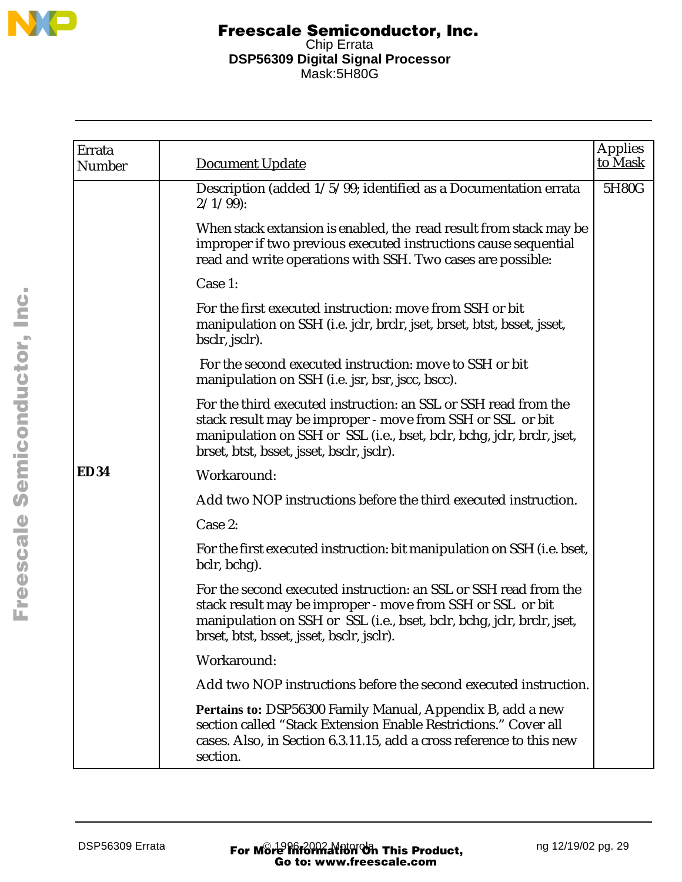

| Errata<br>Number | <b>Document Update</b>                                                                                                                                                                                                                                | Applies<br>to Mask |
|------------------|-------------------------------------------------------------------------------------------------------------------------------------------------------------------------------------------------------------------------------------------------------|--------------------|
|                  | Description (added 1/5/99; identified as a Documentation errata<br>$2/1/99$ :                                                                                                                                                                         | 5H80G              |
|                  | When stack extansion is enabled, the read result from stack may be<br>improper if two previous executed instructions cause sequential<br>read and write operations with SSH. Two cases are possible:                                                  |                    |
|                  | Case 1:                                                                                                                                                                                                                                               |                    |
|                  | For the first executed instruction: move from SSH or bit<br>manipulation on SSH (i.e. jclr, brclr, jset, brset, btst, bsset, jsset,<br>bsclr, jsclr).                                                                                                 |                    |
|                  | For the second executed instruction: move to SSH or bit<br>manipulation on SSH (i.e. jsr, bsr, jscc, bscc).                                                                                                                                           |                    |
|                  | For the third executed instruction: an SSL or SSH read from the<br>stack result may be improper - move from SSH or SSL or bit<br>manipulation on SSH or SSL (i.e., bset, bclr, bchg, jclr, brclr, jset,<br>brset, btst, bsset, jsset, bsclr, jsclr).  |                    |
| <b>ED34</b>      | Workaround:                                                                                                                                                                                                                                           |                    |
|                  | Add two NOP instructions before the third executed instruction.                                                                                                                                                                                       |                    |
|                  | Case 2:                                                                                                                                                                                                                                               |                    |
|                  | For the first executed instruction: bit manipulation on SSH (i.e. bset,<br>bclr, bchg).                                                                                                                                                               |                    |
|                  | For the second executed instruction: an SSL or SSH read from the<br>stack result may be improper - move from SSH or SSL or bit<br>manipulation on SSH or SSL (i.e., bset, bclr, bchg, jclr, brclr, jset,<br>brset, btst, bsset, jsset, bsclr, jsclr). |                    |
|                  | Workaround:                                                                                                                                                                                                                                           |                    |
|                  | Add two NOP instructions before the second executed instruction.                                                                                                                                                                                      |                    |
|                  | Pertains to: DSP56300 Family Manual, Appendix B, add a new<br>section called "Stack Extension Enable Restrictions." Cover all<br>cases. Also, in Section 6.3.11.15, add a cross reference to this new<br>section.                                     |                    |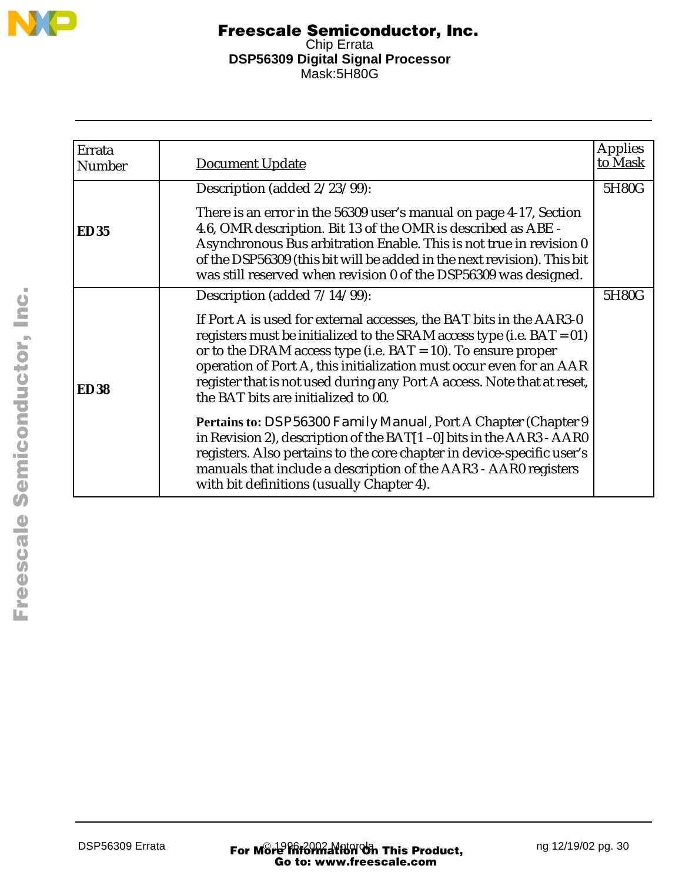

| Errata<br><b>Number</b> | <b>Document Update</b>                                                                                                                                                                                                                                                                                                                                                                                   | <b>Applies</b><br>to Mask |
|-------------------------|----------------------------------------------------------------------------------------------------------------------------------------------------------------------------------------------------------------------------------------------------------------------------------------------------------------------------------------------------------------------------------------------------------|---------------------------|
|                         |                                                                                                                                                                                                                                                                                                                                                                                                          |                           |
|                         | Description (added 2/23/99):                                                                                                                                                                                                                                                                                                                                                                             | 5H80G                     |
| <b>ED35</b>             | There is an error in the 56309 user's manual on page 4-17, Section<br>4.6, OMR description. Bit 13 of the OMR is described as ABE -<br>Asynchronous Bus arbitration Enable. This is not true in revision 0<br>of the DSP56309 (this bit will be added in the next revision). This bit<br>was still reserved when revision 0 of the DSP56309 was designed.                                                |                           |
|                         | Description (added $7/14/99$ ):                                                                                                                                                                                                                                                                                                                                                                          | 5H80G                     |
| <b>ED38</b>             | If Port A is used for external accesses, the BAT bits in the AAR3-0<br>registers must be initialized to the SRAM access type (i.e. $BAT = 01$ )<br>or to the DRAM access type (i.e. BAT = 10). To ensure proper<br>operation of Port A, this initialization must occur even for an AAR<br>register that is not used during any Port A access. Note that at reset,<br>the BAT bits are initialized to 00. |                           |
|                         | Pertains to: <i>DSP56300 Family Manual</i> , Port A Chapter (Chapter 9<br>in Revision 2), description of the BAT[1-0] bits in the AAR3 - AAR0<br>registers. Also pertains to the core chapter in device-specific user's<br>manuals that include a description of the AAR3 - AAR0 registers<br>with bit definitions (usually Chapter 4).                                                                  |                           |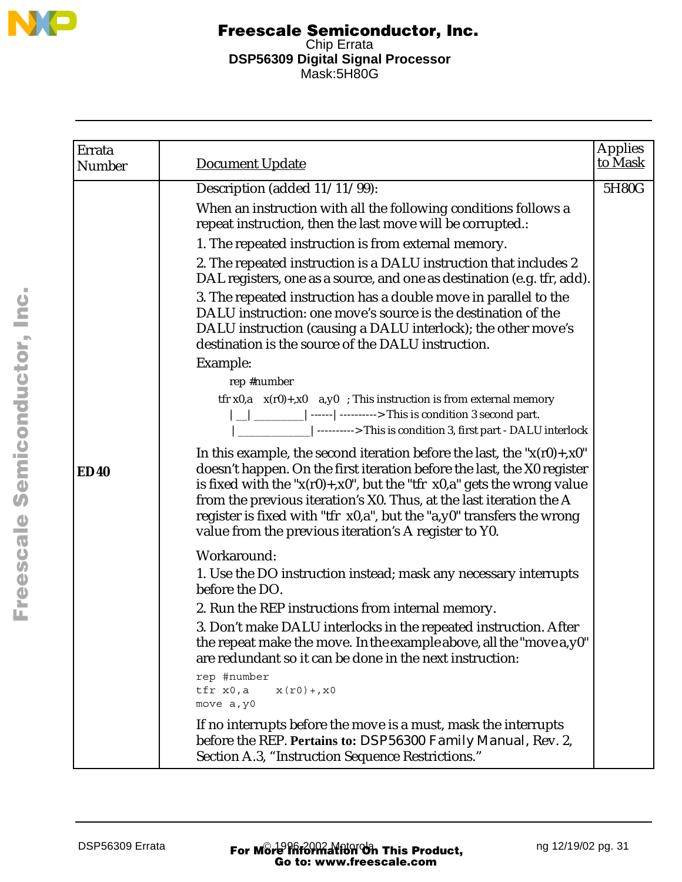

| Errata<br>Number | <b>Document Update</b>                                                                                                                                                                                                                                                                                                                                                                                                                            | <b>Applies</b><br>to Mask |
|------------------|---------------------------------------------------------------------------------------------------------------------------------------------------------------------------------------------------------------------------------------------------------------------------------------------------------------------------------------------------------------------------------------------------------------------------------------------------|---------------------------|
|                  | Description (added 11/11/99):                                                                                                                                                                                                                                                                                                                                                                                                                     | 5H80G                     |
|                  | When an instruction with all the following conditions follows a<br>repeat instruction, then the last move will be corrupted.:                                                                                                                                                                                                                                                                                                                     |                           |
|                  | 1. The repeated instruction is from external memory.                                                                                                                                                                                                                                                                                                                                                                                              |                           |
|                  | 2. The repeated instruction is a DALU instruction that includes 2<br>DAL registers, one as a source, and one as destination (e.g. tfr, add).                                                                                                                                                                                                                                                                                                      |                           |
|                  | 3. The repeated instruction has a double move in parallel to the<br>DALU instruction: one move's source is the destination of the<br>DALU instruction (causing a DALU interlock); the other move's<br>destination is the source of the DALU instruction.                                                                                                                                                                                          |                           |
|                  | Example:                                                                                                                                                                                                                                                                                                                                                                                                                                          |                           |
|                  | rep #number                                                                                                                                                                                                                                                                                                                                                                                                                                       |                           |
|                  | tfr $x0$ , $a \times (r0) + x0$ a, $y0$ ; This instruction is from external memory<br>$ $ _   _______   ------   ---------> This is condition 3 second part.<br>----------------------------> This is condition 3, first part - DALU interlock                                                                                                                                                                                                    |                           |
| <b>ED40</b>      | In this example, the second iteration before the last, the " $x(r0) + x0$ "<br>doesn't happen. On the first iteration before the last, the X0 register<br>is fixed with the " $x(r0) + x0$ ", but the "tfr $x0$ ,a" gets the wrong value<br>from the previous iteration's X0. Thus, at the last iteration the A<br>register is fixed with "tfr x0,a", but the "a,y0" transfers the wrong<br>value from the previous iteration's A register to Y0. |                           |
|                  | Workaround:                                                                                                                                                                                                                                                                                                                                                                                                                                       |                           |
|                  | 1. Use the DO instruction instead; mask any necessary interrupts<br>before the DO.                                                                                                                                                                                                                                                                                                                                                                |                           |
|                  | 2. Run the REP instructions from internal memory.                                                                                                                                                                                                                                                                                                                                                                                                 |                           |
|                  | 3. Don't make DALU interlocks in the repeated instruction. After<br>the repeat make the move. In the example above, all the "move a, y0"<br>are redundant so it can be done in the next instruction:                                                                                                                                                                                                                                              |                           |
|                  | rep #number<br>tfr x0,a<br>$x(r0) + x0$<br>move a, y0                                                                                                                                                                                                                                                                                                                                                                                             |                           |
|                  | If no interrupts before the move is a must, mask the interrupts<br>before the REP. Pertains to: DSP56300 Family Manual, Rev. 2,<br>Section A.3, "Instruction Sequence Restrictions."                                                                                                                                                                                                                                                              |                           |